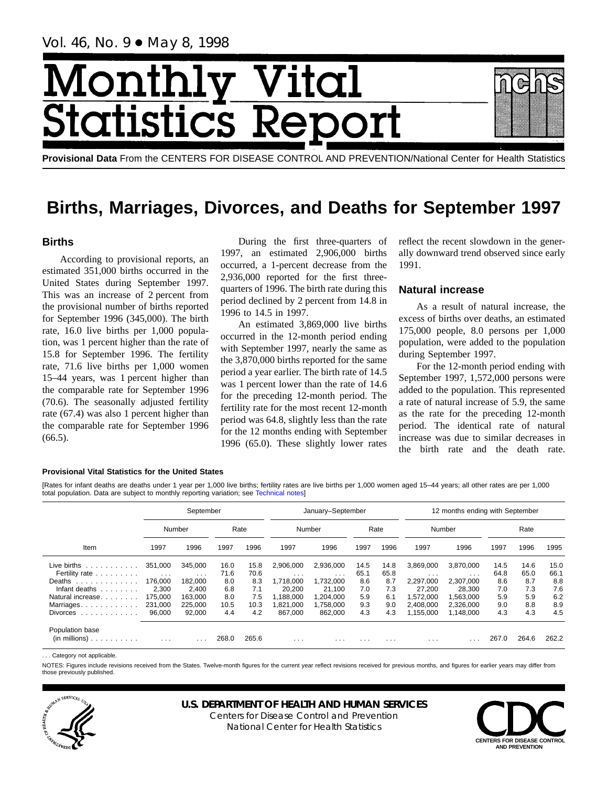# Month <u>y Vital</u> tics Re **itatist**

**Provisional Data** From the CENTERS FOR DISEASE CONTROL AND PREVENTION/National Center for Health Statistics

# **Births, Marriages, Divorces, and Deaths for September 1997**

# **Births**

According to provisional reports, an estimated 351,000 births occurred in the United States during September 1997. This was an increase of 2 percent from the provisional number of births reported for September 1996 (345,000). The birth rate, 16.0 live births per 1,000 population, was 1 percent higher than the rate of 15.8 for September 1996. The fertility rate, 71.6 live births per 1,000 women 15–44 years, was 1 percent higher than the comparable rate for September 1996 (70.6). The seasonally adjusted fertility rate (67.4) was also 1 percent higher than the comparable rate for September 1996  $(66.5).$ 

During the first three-quarters of 1997, an estimated 2,906,000 births occurred, a 1-percent decrease from the 2,936,000 reported for the first threequarters of 1996. The birth rate during this period declined by 2 percent from 14.8 in 1996 to 14.5 in 1997.

An estimated 3,869,000 live births occurred in the 12-month period ending with September 1997, nearly the same as the 3,870,000 births reported for the same period a year earlier. The birth rate of 14.5 was 1 percent lower than the rate of 14.6 for the preceding 12-month period. The fertility rate for the most recent 12-month period was 64.8, slightly less than the rate for the 12 months ending with September 1996 (65.0). These slightly lower rates reflect the recent slowdown in the generally downward trend observed since early 1991.

# **Natural increase**

As a result of natural increase, the excess of births over deaths, an estimated 175,000 people, 8.0 persons per 1,000 population, were added to the population during September 1997.

For the 12-month period ending with September 1997, 1,572,000 persons were added to the population. This represented a rate of natural increase of 5.9, the same as the rate for the preceding 12-month period. The identical rate of natural increase was due to similar decreases in the birth rate and the death rate.

## **Provisional Vital Statistics for the United States**

[Rates for infant deaths are deaths under 1 year per 1,000 live bi[rths; fertility rates are live](#page-16-0) births per 1,000 women aged 15–44 years; all other rates are per 1,000 total population. Data are subject to monthly reporting variation; see Technical notes]

|                                                                                                                                                                                                                                                                                                                                                                                                                             |                      | September               |       |       |                         | January-September |          |          | 12 months ending with September |           |       |       |       |  |  |
|-----------------------------------------------------------------------------------------------------------------------------------------------------------------------------------------------------------------------------------------------------------------------------------------------------------------------------------------------------------------------------------------------------------------------------|----------------------|-------------------------|-------|-------|-------------------------|-------------------|----------|----------|---------------------------------|-----------|-------|-------|-------|--|--|
|                                                                                                                                                                                                                                                                                                                                                                                                                             |                      | Number                  |       | Rate  |                         | Number            |          | Rate     |                                 | Number    |       | Rate  |       |  |  |
| Item                                                                                                                                                                                                                                                                                                                                                                                                                        | 1997                 | 1996                    | 1997  | 1996  | 1997                    | 1996              | 1997     | 1996     | 1997                            | 1996      | 1997  | 1996  | 1995  |  |  |
| Live births<br>$\mathcal{L}^{(1)}\left( \mathcal{L}^{(1)}\left( \mathcal{L}^{(1)}\left( \mathcal{L}^{(1)}\left( \mathcal{L}^{(1)}\left( \mathcal{L}^{(1)}\left( \mathcal{L}^{(1)}\right) \right) \right) \right) \right) \right) =\mathcal{L}^{(1)}\left( \mathcal{L}^{(1)}\left( \mathcal{L}^{(1)}\left( \mathcal{L}^{(1)}\left( \mathcal{L}^{(1)}\left( \mathcal{L}^{(1)}\right) \right) \right) \right) \right) \right)$ | 351.000              | 345.000                 | 16.0  | 15.8  | 2.906.000               | 2,936,000         | 14.5     | 14.8     | 3,869,000                       | 3,870,000 | 14.5  | 14.6  | 15.0  |  |  |
| Fertility rate                                                                                                                                                                                                                                                                                                                                                                                                              | $\sim$ $\sim$ $\sim$ | $\cdot$ $\cdot$ $\cdot$ | 71.6  | 70.6  | $\cdot$ $\cdot$ $\cdot$ | $\cdots$          | 65.1     | 65.8     | $\cdots$                        | $\cdots$  | 64.8  | 65.0  | 66.1  |  |  |
| Deaths<br>.                                                                                                                                                                                                                                                                                                                                                                                                                 | 176.000              | 182.000                 | 8.0   | 8.3   | 1.718.000               | 1,732,000         | 8.6      | 8.7      | 2.297.000                       | 2,307,000 | 8.6   | 8.7   | 8.8   |  |  |
| Infant deaths<br>.                                                                                                                                                                                                                                                                                                                                                                                                          | 2,300                | 2.400                   | 6.8   | 7.1   | 20,200                  | 21.100            | 7.0      | 7.3      | 27,200                          | 28.300    | 7.0   | 7.3   | 7.6   |  |  |
| Natural increase.                                                                                                                                                                                                                                                                                                                                                                                                           | 175.000              | 163.000                 | 8.0   | 7.5   | 188.000                 | 1.204.000         | 5.9      | 6.1      | 1.572.000                       | 1.563.000 | 5.9   | 5.9   | 6.2   |  |  |
| Marriages.                                                                                                                                                                                                                                                                                                                                                                                                                  | 231.000              | 225,000                 | 10.5  | 10.3  | 1.821.000               | 1,758,000         | 9.3      | 9.0      | 2.408.000                       | 2.326.000 | 9.0   | 8.8   | 8.9   |  |  |
| <b>Divorces</b><br>and and and and and and                                                                                                                                                                                                                                                                                                                                                                                  | 96,000               | 92,000                  | 4.4   | 4.2   | 867.000                 | 862,000           | 4.3      | 4.3      | 1,155,000                       | 1,148,000 | 4.3   | 4.3   | 4.5   |  |  |
| Population base<br>$(in$ millions $)$                                                                                                                                                                                                                                                                                                                                                                                       | $\cdots$             | $\cdot$ $\cdot$ $\cdot$ | 268.0 | 265.6 | $\cdots$                | $\cdots$          | $\cdots$ | $\cdots$ | $\cdots$                        | .         | 267.0 | 264.6 | 262.2 |  |  |

... Category not applicable

NOTES: Figures include revisions received from the States. Twelve-month figures for the current year reflect revisions received for previous months, and figures for earlier years may differ from those previously published.



# **U.S. DEPARTMENT OF HEALTH AND HUMAN SERVICES**

Centers for Disease Control and Prevention National Center for Health Statistics

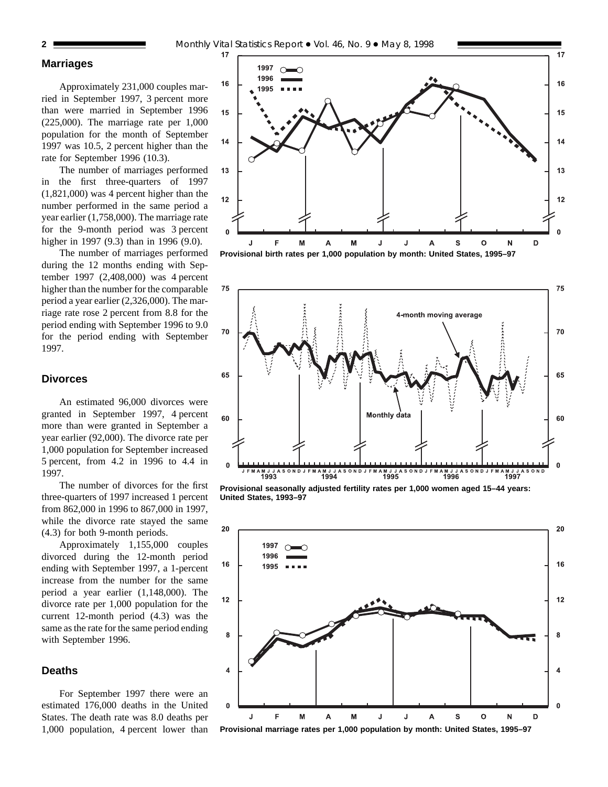# **Marriages**

Approximately 231,000 couples married in September 1997, 3 percent more than were married in September 1996 (225,000). The marriage rate per 1,000 population for the month of September 1997 was 10.5, 2 percent higher than the rate for September 1996 (10.3).

The number of marriages performed in the first three-quarters of 1997 (1,821,000) was 4 percent higher than the number performed in the same period a year earlier (1,758,000). The marriage rate for the 9-month period was 3 percent higher in 1997 (9.3) than in 1996 (9.0).

The number of marriages performed during the 12 months ending with September 1997 (2,408,000) was 4 percent higher than the number for the comparable period a year earlier (2,326,000). The marriage rate rose 2 percent from 8.8 for the period ending with September 1996 to 9.0 for the period ending with September 1997.

## **Divorces**

An estimated 96,000 divorces were granted in September 1997, 4 percent more than were granted in September a year earlier (92,000). The divorce rate per 1,000 population for September increased 5 percent, from 4.2 in 1996 to 4.4 in 1997.

The number of divorces for the first three-quarters of 1997 increased 1 percent from 862,000 in 1996 to 867,000 in 1997, while the divorce rate stayed the same (4.3) for both 9-month periods.

Approximately 1,155,000 couples divorced during the 12-month period ending with September 1997, a 1-percent increase from the number for the same period a year earlier (1,148,000). The divorce rate per 1,000 population for the current 12-month period (4.3) was the same as the rate for the same period ending with September 1996.

# **Deaths**

For September 1997 there were an estimated 176,000 deaths in the United States. The death rate was 8.0 deaths per 1,000 population, 4 percent lower than





**Provisional seasonally adjusted fertility rates per 1,000 women aged 15–44 years: United States, 1993–97**



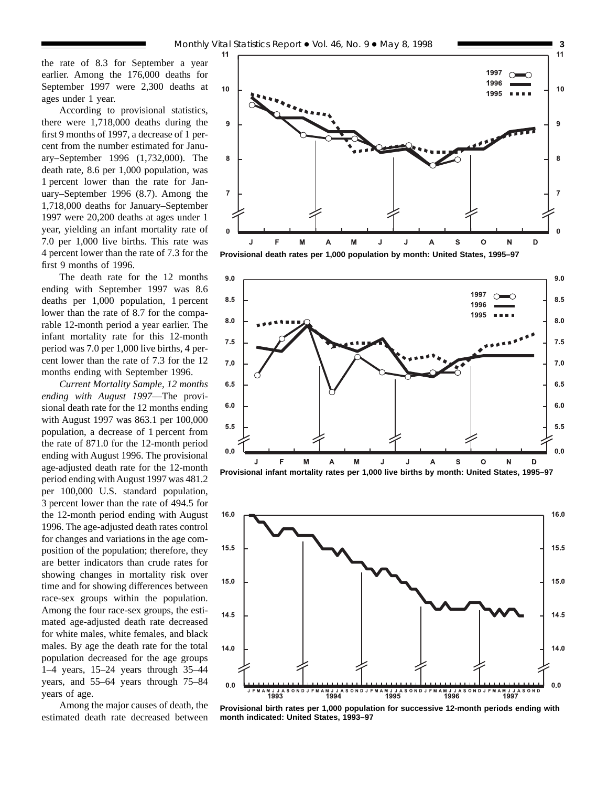the rate of 8.3 for September a year earlier. Among the 176,000 deaths for September 1997 were 2,300 deaths at ages under 1 year.

According to provisional statistics, there were 1,718,000 deaths during the first 9 months of 1997, a decrease of 1 percent from the number estimated for January–September 1996 (1,732,000). The death rate, 8.6 per 1,000 population, was 1 percent lower than the rate for January–September 1996 (8.7). Among the 1,718,000 deaths for January–September 1997 were 20,200 deaths at ages under 1 year, yielding an infant mortality rate of 7.0 per 1,000 live births. This rate was 4 percent lower than the rate of 7.3 for the first 9 months of 1996.

The death rate for the 12 months ending with September 1997 was 8.6 deaths per 1,000 population, 1 percent lower than the rate of 8.7 for the comparable 12-month period a year earlier. The infant mortality rate for this 12-month period was 7.0 per 1,000 live births, 4 percent lower than the rate of 7.3 for the 12 months ending with September 1996.

*Current Mortality Sample, 12 months ending with August 1997*—The provisional death rate for the 12 months ending with August 1997 was 863.1 per 100,000 population, a decrease of 1 percent from the rate of 871.0 for the 12-month period ending with August 1996. The provisional age-adjusted death rate for the 12-month period ending with August 1997 was 481.2 per 100,000 U.S. standard population, 3 percent lower than the rate of 494.5 for the 12-month period ending with August 1996. The age-adjusted death rates control for changes and variations in the age composition of the population; therefore, they are better indicators than crude rates for showing changes in mortality risk over time and for showing differences between race-sex groups within the population. Among the four race-sex groups, the estimated age-adjusted death rate decreased for white males, white females, and black males. By age the death rate for the total population decreased for the age groups 1–4 years, 15–24 years through 35–44 years, and 55–64 years through 75–84 years of age.

Among the major causes of death, the estimated death rate decreased between



**Provisional death rates per 1,000 population by month: United States, 1995–97**





**Provisional birth rates per 1,000 population for successive 12-month periods ending with month indicated: United States, 1993–97**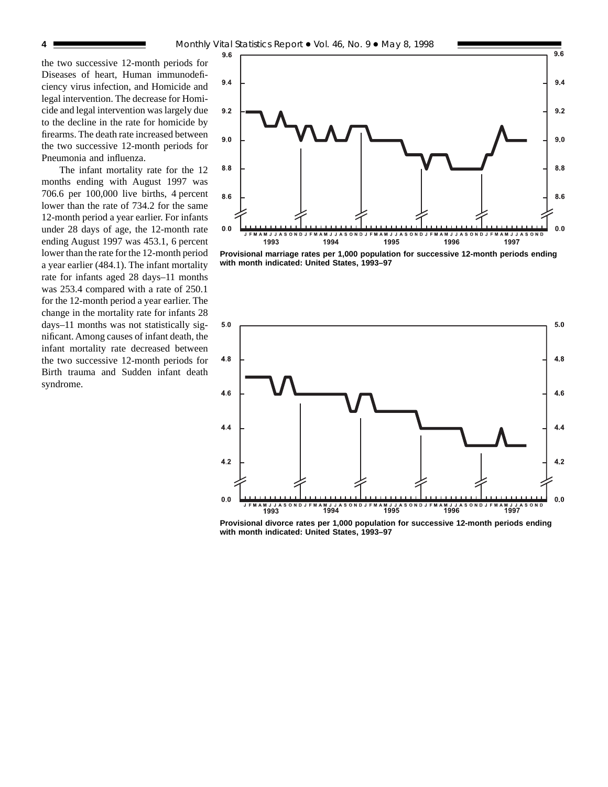the two successive 12-month periods for Diseases of heart, Human immunodeficiency virus infection, and Homicide and legal intervention. The decrease for Homicide and legal intervention was largely due to the decline in the rate for homicide by firearms. The death rate increased between the two successive 12-month periods for Pneumonia and influenza.

The infant mortality rate for the 12 months ending with August 1997 was 706.6 per 100,000 live births, 4 percent lower than the rate of 734.2 for the same 12-month period a year earlier. For infants under 28 days of age, the 12-month rate ending August 1997 was 453.1, 6 percent lower than the rate for the 12-month period a year earlier (484.1). The infant mortality rate for infants aged 28 days–11 months was 253.4 compared with a rate of 250.1 for the 12-month period a year earlier. The change in the mortality rate for infants 28 days–11 months was not statistically significant. Among causes of infant death, the infant mortality rate decreased between the two successive 12-month periods for Birth trauma and Sudden infant death syndrome.



**Provisional marriage rates per 1,000 population for successive 12-month periods ending with month indicated: United States, 1993–97**



**Provisional divorce rates per 1,000 population for successive 12-month periods ending with month indicated: United States, 1993–97**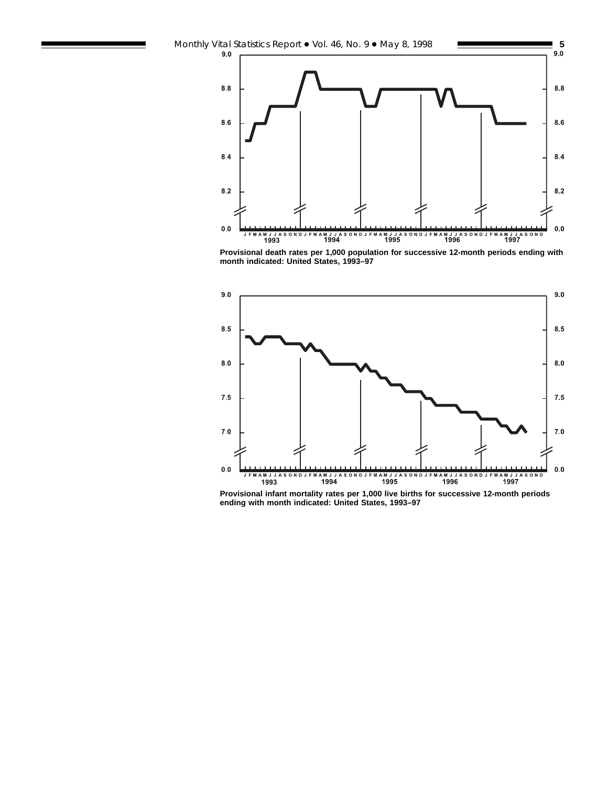

**Provisional death rates per 1,000 population for successive 12-month periods ending with month indicated: United States, 1993–97**



**Provisional infant mortality rates per 1,000 live births for successive 12-month periods ending with month indicated: United States, 1993–97**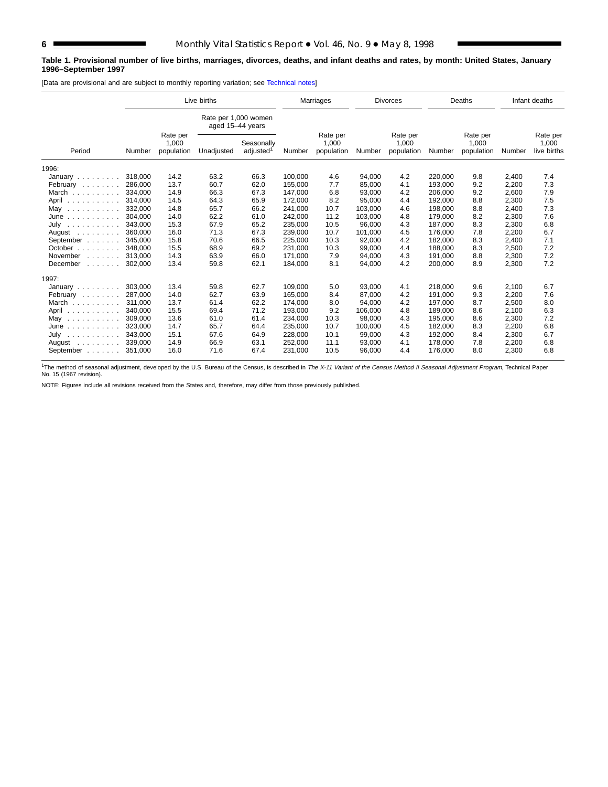# **Table 1. Provisional number of live births, marriages, divorces, deaths, and infant deaths and rates, by month: United States, January 1996–September 1997**

[Data are provisional and are subject to monthly reporting variation; see [Technical notes\]](#page-16-0)

|                                                                        | Live births |                                 |                                          |                                     | Marriages |                                 | <b>Divorces</b> |                                 | Deaths  |                                 | Infant deaths |                                  |
|------------------------------------------------------------------------|-------------|---------------------------------|------------------------------------------|-------------------------------------|-----------|---------------------------------|-----------------|---------------------------------|---------|---------------------------------|---------------|----------------------------------|
|                                                                        |             |                                 | Rate per 1,000 women<br>aged 15-44 years |                                     |           |                                 |                 |                                 |         |                                 |               |                                  |
| Period                                                                 | Number      | Rate per<br>1,000<br>population | Unadjusted                               | Seasonally<br>adjusted <sup>1</sup> | Number    | Rate per<br>1,000<br>population | Number          | Rate per<br>1,000<br>population | Number  | Rate per<br>1,000<br>population | Number        | Rate per<br>1,000<br>live births |
| 1996:                                                                  |             |                                 |                                          |                                     |           |                                 |                 |                                 |         |                                 |               |                                  |
| January                                                                | 318,000     | 14.2                            | 63.2                                     | 66.3                                | 100.000   | 4.6                             | 94,000          | 4.2                             | 220.000 | 9.8                             | 2,400         | 7.4                              |
| February                                                               | 286,000     | 13.7                            | 60.7                                     | 62.0                                | 155,000   | 7.7                             | 85,000          | 4.1                             | 193,000 | 9.2                             | 2,200         | 7.3                              |
| March                                                                  | 334.000     | 14.9                            | 66.3                                     | 67.3                                | 147,000   | 6.8                             | 93.000          | 4.2                             | 206.000 | 9.2                             | 2,600         | 7.9                              |
| April                                                                  | 314,000     | 14.5                            | 64.3                                     | 65.9                                | 172,000   | 8.2                             | 95,000          | 4.4                             | 192,000 | 8.8                             | 2,300         | 7.5                              |
| May<br>.                                                               | 332,000     | 14.8                            | 65.7                                     | 66.2                                | 241,000   | 10.7                            | 103,000         | 4.6                             | 198,000 | 8.8                             | 2,400         | 7.3                              |
| $June \dots \dots \dots \dots$                                         | 304,000     | 14.0                            | 62.2                                     | 61.0                                | 242,000   | 11.2                            | 103,000         | 4.8                             | 179,000 | 8.2                             | 2,300         | 7.6                              |
| July<br>.                                                              | 343,000     | 15.3                            | 67.9                                     | 65.2                                | 235,000   | 10.5                            | 96,000          | 4.3                             | 187,000 | 8.3                             | 2,300         | 6.8                              |
| August $\ldots$ ,                                                      | 360,000     | 16.0                            | 71.3                                     | 67.3                                | 239,000   | 10.7                            | 101,000         | 4.5                             | 176,000 | 7.8                             | 2,200         | 6.7                              |
| September                                                              | 345.000     | 15.8                            | 70.6                                     | 66.5                                | 225,000   | 10.3                            | 92,000          | 4.2                             | 182,000 | 8.3                             | 2,400         | 7.1                              |
| October                                                                | 348,000     | 15.5                            | 68.9                                     | 69.2                                | 231.000   | 10.3                            | 99.000          | 4.4                             | 188.000 | 8.3                             | 2,500         | 7.2                              |
| November<br>1.1.1.1.1.1                                                | 313.000     | 14.3                            | 63.9                                     | 66.0                                | 171.000   | 7.9                             | 94.000          | 4.3                             | 191.000 | 8.8                             | 2,300         | 7.2                              |
| December<br>$\mathcal{L}^{\mathcal{A}}$ . The set of the $\mathcal{A}$ | 302,000     | 13.4                            | 59.8                                     | 62.1                                | 184,000   | 8.1                             | 94,000          | 4.2                             | 200,000 | 8.9                             | 2,300         | 7.2                              |
| 1997:                                                                  |             |                                 |                                          |                                     |           |                                 |                 |                                 |         |                                 |               |                                  |
| January                                                                | 303,000     | 13.4                            | 59.8                                     | 62.7                                | 109,000   | 5.0                             | 93,000          | 4.1                             | 218,000 | 9.6                             | 2,100         | 6.7                              |
| February                                                               | 287.000     | 14.0                            | 62.7                                     | 63.9                                | 165,000   | 8.4                             | 87,000          | 4.2                             | 191.000 | 9.3                             | 2,200         | 7.6                              |
| March                                                                  | 311,000     | 13.7                            | 61.4                                     | 62.2                                | 174,000   | 8.0                             | 94,000          | 4.2                             | 197,000 | 8.7                             | 2,500         | 8.0                              |
| April                                                                  | 340,000     | 15.5                            | 69.4                                     | 71.2                                | 193,000   | 9.2                             | 106,000         | 4.8                             | 189,000 | 8.6                             | 2,100         | 6.3                              |
| May<br>.                                                               | 309,000     | 13.6                            | 61.0                                     | 61.4                                | 234,000   | 10.3                            | 98,000          | 4.3                             | 195,000 | 8.6                             | 2,300         | 7.2                              |
| June<br>.                                                              | 323,000     | 14.7                            | 65.7                                     | 64.4                                | 235,000   | 10.7                            | 100,000         | 4.5                             | 182,000 | 8.3                             | 2,200         | 6.8                              |
| July $\ldots \ldots \ldots$                                            | 343.000     | 15.1                            | 67.6                                     | 64.9                                | 228,000   | 10.1                            | 99,000          | 4.3                             | 192.000 | 8.4                             | 2,300         | 6.7                              |
| August                                                                 | 339,000     | 14.9                            | 66.9                                     | 63.1                                | 252,000   | 11.1                            | 93,000          | 4.1                             | 178,000 | 7.8                             | 2,200         | 6.8                              |
| September                                                              | 351,000     | 16.0                            | 71.6                                     | 67.4                                | 231,000   | 10.5                            | 96,000          | 4.4                             | 176,000 | 8.0                             | 2,300         | 6.8                              |

<sup>1</sup>The method of seasonal adjustment, developed by the U.S. Bureau of the Census, is described in The X-11 Variant of the Census Method II Seasonal Adjustment Program, Technical Paper No. 15 (1967 revision).

NOTE: Figures include all revisions received from the States and, therefore, may differ from those previously published.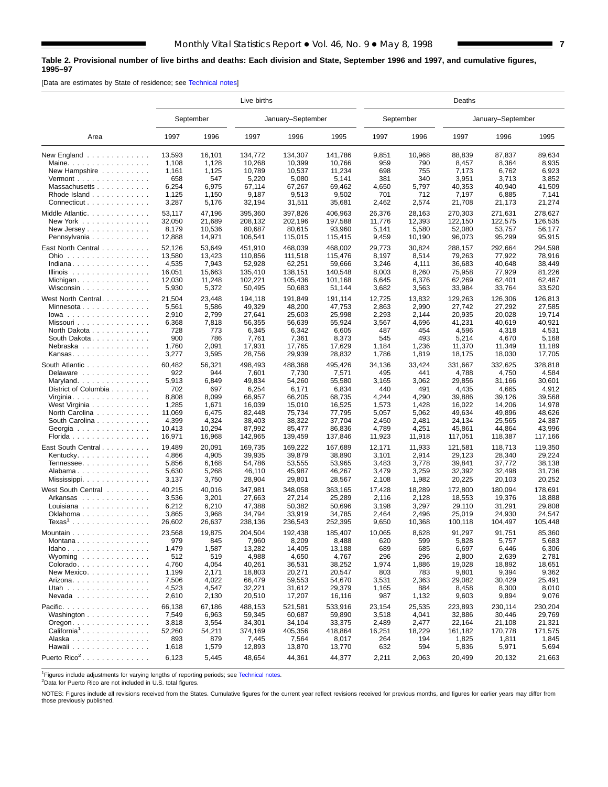# <span id="page-6-0"></span>**Table 2. Provisional number of live births and deaths: Each division and State, September 1996 and 1997, and cumulative figures, 1995–97**

[Data are estimates by State of residence; see [Technical notes\]](#page-16-0)

|                                                                                                            | Live births                                                      |                                                                   |                                                                             |                                                                         |                                                                             |                                                               | Deaths                                                        |                                                                      |                                                                      |                                                                      |  |  |  |  |
|------------------------------------------------------------------------------------------------------------|------------------------------------------------------------------|-------------------------------------------------------------------|-----------------------------------------------------------------------------|-------------------------------------------------------------------------|-----------------------------------------------------------------------------|---------------------------------------------------------------|---------------------------------------------------------------|----------------------------------------------------------------------|----------------------------------------------------------------------|----------------------------------------------------------------------|--|--|--|--|
|                                                                                                            |                                                                  | September                                                         |                                                                             | January-September                                                       |                                                                             |                                                               | September                                                     |                                                                      | January-September                                                    |                                                                      |  |  |  |  |
| Area                                                                                                       | 1997                                                             | 1996                                                              | 1997                                                                        | 1996                                                                    | 1995                                                                        | 1997                                                          | 1996                                                          | 1997                                                                 | 1996                                                                 | 1995                                                                 |  |  |  |  |
| New England                                                                                                | 13,593                                                           | 16,101                                                            | 134,772                                                                     | 134,307                                                                 | 141.786                                                                     | 9,851                                                         | 10,968                                                        | 88,839                                                               | 87,837                                                               | 89,634                                                               |  |  |  |  |
| Maine.                                                                                                     | 1,108                                                            | 1,128                                                             | 10,268                                                                      | 10,399                                                                  | 10,766                                                                      | 959                                                           | 790                                                           | 8,457                                                                | 8,364                                                                | 8,935                                                                |  |  |  |  |
| New Hampshire                                                                                              | 1,161                                                            | 1,125                                                             | 10,789                                                                      | 10,537                                                                  | 11,234                                                                      | 698                                                           | 755                                                           | 7,173                                                                | 6,762                                                                | 6,923                                                                |  |  |  |  |
| Vermont $\dots\dots\dots\dots\dots\dots$                                                                   | 658                                                              | 547                                                               | 5,220                                                                       | 5,080                                                                   | 5,141                                                                       | 381                                                           | 340                                                           | 3,951                                                                | 3,713                                                                | 3,852                                                                |  |  |  |  |
| Massachusetts                                                                                              | 6,254                                                            | 6,975                                                             | 67,114                                                                      | 67,267                                                                  | 69,462                                                                      | 4,650                                                         | 5,797                                                         | 40,353                                                               | 40,940                                                               | 41,509                                                               |  |  |  |  |
| Rhode Island                                                                                               | 1,125                                                            | 1,150                                                             | 9,187                                                                       | 9,513                                                                   | 9,502                                                                       | 701                                                           | 712                                                           | 7,197                                                                | 6,885                                                                | 7,141                                                                |  |  |  |  |
| Connecticut                                                                                                | 3,287                                                            | 5,176                                                             | 32,194                                                                      | 31,511                                                                  | 35,681                                                                      | 2,462                                                         | 2,574                                                         | 21,708                                                               | 21,173                                                               | 21,274                                                               |  |  |  |  |
| Middle Atlantic                                                                                            | 53,117                                                           | 47,196                                                            | 395,360                                                                     | 397,826                                                                 | 406.963                                                                     | 26,376                                                        | 28,163                                                        | 270,303                                                              | 271,631                                                              | 278,627                                                              |  |  |  |  |
| New York                                                                                                   | 32,050                                                           | 21,689                                                            | 208,132                                                                     | 202,196                                                                 | 197,588                                                                     | 11,776                                                        | 12,393                                                        | 122,150                                                              | 122.575                                                              | 126,535                                                              |  |  |  |  |
| New Jersey $\ldots$ , $\ldots$ , $\ldots$ , $\ldots$                                                       | 8,179                                                            | 10,536                                                            | 80,687                                                                      | 80,615                                                                  | 93,960                                                                      | 5,141                                                         | 5,580                                                         | 52,080                                                               | 53,757                                                               | 56,177                                                               |  |  |  |  |
| Pennsylvania                                                                                               | 12,888                                                           | 14,971                                                            | 106,541                                                                     | 115,015                                                                 | 115,415                                                                     | 9,459                                                         | 10,190                                                        | 96,073                                                               | 95,299                                                               | 95,915                                                               |  |  |  |  |
| East North Central<br>Ohio<br>Indiana<br>Illinois<br>Michigan<br>Wisconsin $\ldots$<br>West North Central. | 52,126<br>13,580<br>4,535<br>16,051<br>12,030<br>5,930<br>21,504 | 53,649<br>13,423<br>7,943<br>15,663<br>11,248<br>5,372            | 451,910<br>110,856<br>52,928<br>135,410<br>102,221<br>50,495                | 468,039<br>111,518<br>62,251<br>138,151<br>105,436<br>50,683<br>191,849 | 468,002<br>115,476<br>59,666<br>140,548<br>101,168<br>51,144                | 29,773<br>8,197<br>3,246<br>8,003<br>6,645<br>3,682<br>12,725 | 30,824<br>8,514<br>4,111<br>8,260<br>6,376<br>3,563<br>13,832 | 288,157<br>79,263<br>36,683<br>75,958<br>62,269<br>33,984<br>129,263 | 292,664<br>77,922<br>40,648<br>77,929<br>62,401<br>33,764<br>126,306 | 294,598<br>78,916<br>38,449<br>81,226<br>62,487<br>33,520<br>126,813 |  |  |  |  |
| Minnesota<br>$lowa$<br>Missouri<br>North Dakota<br>South Dakota<br>Nebraska<br>Kansas.                     | 5,561<br>2,910<br>6,368<br>728<br>900<br>1,760<br>3,277          | 23,448<br>5,586<br>2,799<br>7,818<br>773<br>786<br>2,091<br>3,595 | 194,118<br>49,329<br>27,641<br>56,355<br>6,345<br>7,761<br>17,931<br>28,756 | 48,200<br>25,603<br>56,639<br>6,342<br>7,361<br>17,765<br>29,939        | 191,114<br>47,753<br>25,998<br>55,924<br>6,605<br>8,373<br>17,629<br>28,832 | 2,863<br>2,293<br>3,567<br>487<br>545<br>1,184<br>1,786       | 2,990<br>2,144<br>4,696<br>454<br>493<br>1,236<br>1,819       | 27,742<br>20,935<br>41,231<br>4,596<br>5,214<br>11,370<br>18,175     | 27,292<br>20,028<br>40,619<br>4,318<br>4,670<br>11,349<br>18,030     | 27.585<br>19,714<br>40,921<br>4,531<br>5,168<br>11,189<br>17,705     |  |  |  |  |
| South Atlantic                                                                                             | 60,482                                                           | 56,321                                                            | 498,493                                                                     | 488,368                                                                 | 495,426                                                                     | 34,136                                                        | 33,424                                                        | 331.667                                                              | 332,625                                                              | 328,818                                                              |  |  |  |  |
| Delaware                                                                                                   | 922                                                              | 944                                                               | 7,601                                                                       | 7,730                                                                   | 7,571                                                                       | 495                                                           | 441                                                           | 4,788                                                                | 4,750                                                                | 4,584                                                                |  |  |  |  |
| Maryland                                                                                                   | 5,913                                                            | 6,849                                                             | 49,834                                                                      | 54,260                                                                  | 55,580                                                                      | 3,165                                                         | 3,062                                                         | 29,856                                                               | 31,166                                                               | 30,601                                                               |  |  |  |  |
| District of Columbia                                                                                       | 702                                                              | 697                                                               | 6,254                                                                       | 6,171                                                                   | 6,834                                                                       | 440                                                           | 491                                                           | 4,435                                                                | 4,665                                                                | 4,912                                                                |  |  |  |  |
| Virginia                                                                                                   | 8,808                                                            | 8,099                                                             | 66,957                                                                      | 66,205                                                                  | 68,735                                                                      | 4,244                                                         | 4,290                                                         | 39,886                                                               | 39,126                                                               | 39,568                                                               |  |  |  |  |
| West Virginia                                                                                              | 1,285                                                            | 1,671                                                             | 16,039                                                                      | 15,010                                                                  | 16,525                                                                      | 1,573                                                         | 1,428                                                         | 16,022                                                               | 14,206                                                               | 14,978                                                               |  |  |  |  |
| North Carolina                                                                                             | 11,069                                                           | 6,475                                                             | 82,448                                                                      | 75,734                                                                  | 77,795                                                                      | 5,057                                                         | 5,062                                                         | 49,634                                                               | 49,896                                                               | 48,626                                                               |  |  |  |  |
| South Carolina                                                                                             | 4,399                                                            | 4,324                                                             | 38,403                                                                      | 38,322                                                                  | 37,704                                                                      | 2,450                                                         | 2,481                                                         | 24,134                                                               | 25,565                                                               | 24,387                                                               |  |  |  |  |
| Georgia                                                                                                    | 10,413                                                           | 10,294                                                            | 87,992                                                                      | 85,477                                                                  | 86,836                                                                      | 4,789                                                         | 4,251                                                         | 45,861                                                               | 44,864                                                               | 43,996                                                               |  |  |  |  |
| Florida                                                                                                    | 16,971                                                           | 16,968                                                            | 142,965                                                                     | 139,459                                                                 | 137,846                                                                     | 11,923                                                        | 11,918                                                        | 117,051                                                              | 118,387                                                              | 117,166                                                              |  |  |  |  |
| East South Central                                                                                         | 19,489                                                           | 20,091                                                            | 169,735                                                                     | 169,222                                                                 | 167,689                                                                     | 12,171                                                        | 11,933                                                        | 121,581                                                              | 118,713                                                              | 119,350                                                              |  |  |  |  |
| Kentucky                                                                                                   | 4,866                                                            | 4,905                                                             | 39,935                                                                      | 39,879                                                                  | 38,890                                                                      | 3,101                                                         | 2,914                                                         | 29,123                                                               | 28,340                                                               | 29,224                                                               |  |  |  |  |
| Tennessee                                                                                                  | 5,856                                                            | 6,168                                                             | 54,786                                                                      | 53,555                                                                  | 53,965                                                                      | 3,483                                                         | 3,778                                                         | 39,841                                                               | 37,772                                                               | 38,138                                                               |  |  |  |  |
| Alabama                                                                                                    | 5,630                                                            | 5,268                                                             | 46,110                                                                      | 45,987                                                                  | 46,267                                                                      | 3,479                                                         | 3,259                                                         | 32,392                                                               | 32,498                                                               | 31,736                                                               |  |  |  |  |
| Mississippi                                                                                                | 3,137                                                            | 3,750                                                             | 28,904                                                                      | 29,801                                                                  | 28,567                                                                      | 2,108                                                         | 1,982                                                         | 20,225                                                               | 20,103                                                               | 20,252                                                               |  |  |  |  |
| West South Central                                                                                         | 40,215                                                           | 40,016                                                            | 347,981                                                                     | 348,058                                                                 | 363,165                                                                     | 17,428                                                        | 18,289                                                        | 172,800                                                              | 180,094                                                              | 178,691                                                              |  |  |  |  |
| Arkansas                                                                                                   | 3,536                                                            | 3,201                                                             | 27,663                                                                      | 27,214                                                                  | 25,289                                                                      | 2,116                                                         | 2,128                                                         | 18,553                                                               | 19,376                                                               | 18,888                                                               |  |  |  |  |
| Louisiana $\ldots \ldots \ldots \ldots$                                                                    | 6,212                                                            | 6,210                                                             | 47,388                                                                      | 50,382                                                                  | 50,696                                                                      | 3,198                                                         | 3,297                                                         | 29,110                                                               | 31,291                                                               | 29,808                                                               |  |  |  |  |
| Oklahoma                                                                                                   | 3,865                                                            | 3,968                                                             | 34,794                                                                      | 33,919                                                                  | 34,785                                                                      | 2,464                                                         | 2,496                                                         | 25,019                                                               | 24,930                                                               | 24,547                                                               |  |  |  |  |
| $Texas1$                                                                                                   | 26,602                                                           | 26,637                                                            | 238,136                                                                     | 236,543                                                                 | 252,395                                                                     | 9,650                                                         | 10,368                                                        | 100,118                                                              | 104,497                                                              | 105,448                                                              |  |  |  |  |
| Mountain                                                                                                   | 23,568                                                           | 19,875                                                            | 204,504                                                                     | 192,438                                                                 | 185,407                                                                     | 10,065                                                        | 8,628                                                         | 91,297                                                               | 91,751                                                               | 85,360                                                               |  |  |  |  |
| Montana                                                                                                    | 979                                                              | 845                                                               | 7,960                                                                       | 8,209                                                                   | 8,488                                                                       | 620                                                           | 599                                                           | 5,828                                                                | 5,757                                                                | 5,683                                                                |  |  |  |  |
| $Idaho \ldots  \ldots $                                                                                    | 1,479                                                            | 1,587                                                             | 13,282                                                                      | 14,405                                                                  | 13,188                                                                      | 689                                                           | 685                                                           | 6,697                                                                | 6,446                                                                | 6,306                                                                |  |  |  |  |
| Wyoming $\ldots \ldots \ldots \ldots$                                                                      | 512                                                              | 519                                                               | 4,988                                                                       | 4,650                                                                   | 4,767                                                                       | 296                                                           | 296                                                           | 2,800                                                                | 2,639                                                                | 2,781                                                                |  |  |  |  |
| Colorado                                                                                                   | 4,760                                                            | 4,054                                                             | 40,261                                                                      | 36,531                                                                  | 38,252                                                                      | 1,974                                                         | 1,886                                                         | 19,028                                                               | 18,892                                                               | 18,651                                                               |  |  |  |  |
| New Mexico                                                                                                 | 1,199                                                            | 2,171                                                             | 18,803                                                                      | 20,271                                                                  | 20,547                                                                      | 803                                                           | 783                                                           | 9,801                                                                | 9,394                                                                | 9,362                                                                |  |  |  |  |
| Arizona                                                                                                    | 7,506                                                            | 4,022                                                             | 66,479                                                                      | 59,553                                                                  | 54,670                                                                      | 3,531                                                         | 2,363                                                         | 29,082                                                               | 30,429                                                               | 25,491                                                               |  |  |  |  |
| Utah                                                                                                       | 4,523                                                            | 4,547                                                             | 32,221                                                                      | 31,612                                                                  | 29,379                                                                      | 1,165                                                         | 884                                                           | 8,458                                                                | 8,300                                                                | 8,010                                                                |  |  |  |  |
| Nevada                                                                                                     | 2,610                                                            | 2,130                                                             | 20,510                                                                      | 17,207                                                                  | 16,116                                                                      | 987                                                           | 1,132                                                         | 9,603                                                                | 9,894                                                                | 9,076                                                                |  |  |  |  |
| Pacific.                                                                                                   | 66,138                                                           | 67,186                                                            | 488,153                                                                     | 521,581                                                                 | 533,916                                                                     | 23,154                                                        | 25,535                                                        | 223,893                                                              | 230,114                                                              | 230,204                                                              |  |  |  |  |
| Washington                                                                                                 | 7,549                                                            | 6,963                                                             | 59,345                                                                      | 60,687                                                                  | 59,890                                                                      | 3,518                                                         | 4,041                                                         | 32,886                                                               | 30,446                                                               | 29,769                                                               |  |  |  |  |
| $O$ regon. $\ldots$ .                                                                                      | 3,818                                                            | 3,554                                                             | 34,301                                                                      | 34,104                                                                  | 33,375                                                                      | 2,489                                                         | 2,477                                                         | 22,164                                                               | 21,108                                                               | 21,321                                                               |  |  |  |  |
| California <sup>1</sup> .                                                                                  | 52,260                                                           | 54,211                                                            | 374,169                                                                     | 405,356                                                                 | 418,864                                                                     | 16,251                                                        | 18,229                                                        | 161,182                                                              | 170,778                                                              | 171,575                                                              |  |  |  |  |
| Alaska                                                                                                     | 893                                                              | 879                                                               | 7,445                                                                       | 7,564                                                                   | 8,017                                                                       | 264                                                           | 194                                                           | 1,825                                                                | 1,811                                                                | 1,845                                                                |  |  |  |  |
| Hawaii                                                                                                     | 1,618                                                            | 1,579                                                             | 12,893                                                                      | 13,870                                                                  | 13,770                                                                      | 632                                                           | 594                                                           | 5,836                                                                | 5,971                                                                | 5,694                                                                |  |  |  |  |
| Puerto Rico <sup>2</sup> .                                                                                 | 6,123                                                            | 5,445                                                             | 48,654                                                                      | 44,361                                                                  | 44,377                                                                      | 2,211                                                         | 2,063                                                         | 20,499                                                               | 20,132                                                               | 21,663                                                               |  |  |  |  |

<sup>1</sup>Figures include adjustments for varying lengths of reporting periods; see [Technical notes.](#page-16-0)

2Data for Puerto Rico are not included in U.S. total figures.

NOTES: Figures include all revisions received from the States. Cumulative figures for the current year reflect revisions received for previous months, and figures for earlier years may differ from those previously published.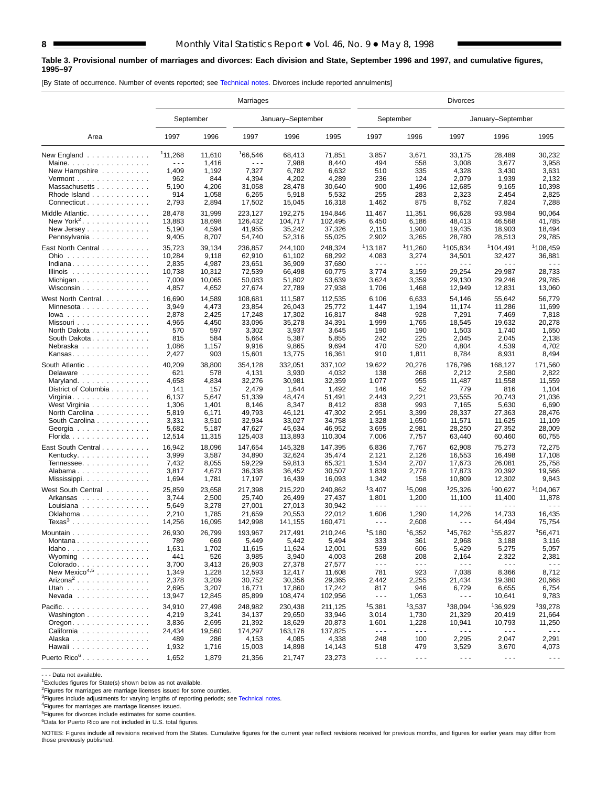#### **Table 3. Provisional number of marriages and divorces: Each division and State, September 1996 and 1997, and cumulative figures, 1995–97**

[By State of occurrence. Number of events reported; see [Technical notes. Divo](#page-16-0)rces include reported annulments]

|                                                  | Marriages    |        |         |                   |         | <b>Divorces</b>                                                                                                                                                                                                                                                                                                                                                                              |                      |                      |                      |                      |  |  |  |
|--------------------------------------------------|--------------|--------|---------|-------------------|---------|----------------------------------------------------------------------------------------------------------------------------------------------------------------------------------------------------------------------------------------------------------------------------------------------------------------------------------------------------------------------------------------------|----------------------|----------------------|----------------------|----------------------|--|--|--|
|                                                  | September    |        |         | January-September |         | September                                                                                                                                                                                                                                                                                                                                                                                    |                      |                      | January-September    |                      |  |  |  |
| Area                                             | 1997         | 1996   | 1997    | 1996              | 1995    | 1997                                                                                                                                                                                                                                                                                                                                                                                         | 1996                 | 1997                 | 1996                 | 1995                 |  |  |  |
| New England $\ldots$ ,                           | 111.268      | 11,610 | 166,546 | 68,413            | 71,851  | 3,857                                                                                                                                                                                                                                                                                                                                                                                        | 3,671                | 33,175               | 28,489               | 30,232               |  |  |  |
| Maine. $\ldots$                                  | - - -        | 1,416  | .       | 7,988             | 8,440   | 494                                                                                                                                                                                                                                                                                                                                                                                          | 558                  | 3,008                | 3,677                | 3,958                |  |  |  |
| New Hampshire                                    | 1,409        | 1,192  | 7,327   | 6,782             | 6,632   | 510                                                                                                                                                                                                                                                                                                                                                                                          | 335                  | 4,328                | 3,430                | 3,631                |  |  |  |
| $Vermont$                                        | 962          | 844    | 4,394   | 4,202             | 4,289   | 236                                                                                                                                                                                                                                                                                                                                                                                          | 124                  | 2,079                | 1,939                | 2,132                |  |  |  |
| Massachusetts                                    | 5,190        | 4,206  | 31,058  | 28,478            | 30,640  | 900                                                                                                                                                                                                                                                                                                                                                                                          | 1,496                | 12,685               | 9,165                | 10,398               |  |  |  |
| Rhode Island                                     | 914          | 1,058  | 6,265   | 5,918             | 5,532   | 255                                                                                                                                                                                                                                                                                                                                                                                          | 283                  | 2,323                | 2,454                | 2,825                |  |  |  |
| Connecticut                                      | 2,793        | 2,894  | 17,502  | 15,045            | 16,318  | 1,462                                                                                                                                                                                                                                                                                                                                                                                        | 875                  | 8,752                | 7,824                | 7,288                |  |  |  |
| Middle Atlantic.                                 | 28,478       | 31,999 | 223,127 | 192,275           | 194,846 | 11,467                                                                                                                                                                                                                                                                                                                                                                                       | 11,351               | 96,628               | 93,984               | 90,064               |  |  |  |
| New York <sup>2</sup> .                          | 13,883       | 18,698 | 126,432 | 104.717           | 102,495 | 6,450                                                                                                                                                                                                                                                                                                                                                                                        | 6,186                | 48,413               | 46,568               | 41,785               |  |  |  |
| New Jersey                                       | 5,190        | 4,594  | 41,955  | 35,242            | 37,326  | 2,115                                                                                                                                                                                                                                                                                                                                                                                        | 1,900                | 19,435               | 18,903               | 18,494               |  |  |  |
| Pennsylvania                                     | 9,405        | 8,707  | 54,740  | 52,316            | 55,025  | 2,902                                                                                                                                                                                                                                                                                                                                                                                        | 3,265                | 28,780               | 28,513               | 29,785               |  |  |  |
|                                                  |              |        |         |                   |         |                                                                                                                                                                                                                                                                                                                                                                                              |                      |                      |                      |                      |  |  |  |
| East North Central                               | 35,723       | 39,134 | 236,857 | 244,100           | 248,324 | 113,187                                                                                                                                                                                                                                                                                                                                                                                      | <sup>1</sup> 11,260  | 1105,834             | <sup>1</sup> 104,491 | 1108,459             |  |  |  |
| Ohio                                             | 10,284       | 9,118  | 62,910  | 61,102            | 68,292  | 4,083                                                                                                                                                                                                                                                                                                                                                                                        | 3,274                | 34,501               | 32,427               | 36,881<br>.          |  |  |  |
| Indiana                                          | 2,835        | 4,987  | 23,651  | 36,909            | 37,680  | $\sim$ $\sim$ $\sim$                                                                                                                                                                                                                                                                                                                                                                         | $\sim$ $\sim$ $\sim$ | $- - -$              | $\sim$ $\sim$ $\sim$ |                      |  |  |  |
| Illinois                                         | 10,738       | 10,312 | 72,539  | 66,498            | 60,775  | 3,774                                                                                                                                                                                                                                                                                                                                                                                        | 3,159                | 29,254               | 29,987               | 28,733               |  |  |  |
|                                                  | 7,009        | 10,065 | 50,083  | 51,802            | 53,639  | 3,624                                                                                                                                                                                                                                                                                                                                                                                        | 3,359                | 29,130               | 29,246               | 29,785               |  |  |  |
| Wisconsin                                        | 4,857        | 4,652  | 27,674  | 27,789            | 27,938  | 1,706                                                                                                                                                                                                                                                                                                                                                                                        | 1,468                | 12,949               | 12,831               | 13,060               |  |  |  |
| West North Central.                              | 16,690       | 14,589 | 108,681 | 111,587           | 112,535 | 6,106                                                                                                                                                                                                                                                                                                                                                                                        | 6,633                | 54,146               | 55,642               | 56,779               |  |  |  |
| Minnesota                                        | 3,949        | 4,473  | 23,854  | 26,043            | 25,772  | 1,447                                                                                                                                                                                                                                                                                                                                                                                        | 1,194                | 11,174               | 11,286               | 11,699               |  |  |  |
| $Iowa$                                           | 2,878        | 2,425  | 17,248  | 17,302            | 16,817  | 848                                                                                                                                                                                                                                                                                                                                                                                          | 928                  | 7,291                | 7,469                | 7,818                |  |  |  |
| Missouri                                         | 4,965        | 4,450  | 33,096  | 35,278            | 34,391  | 1,999                                                                                                                                                                                                                                                                                                                                                                                        | 1,765                | 18,545               | 19,632               | 20,278               |  |  |  |
| North Dakota                                     | 570          | 597    | 3,302   | 3,937             | 3,645   | 190                                                                                                                                                                                                                                                                                                                                                                                          | 190                  | 1,503                | 1,740                | 1,650                |  |  |  |
| South Dakota.                                    | 815          | 584    | 5,664   | 5,387             | 5,855   | 242                                                                                                                                                                                                                                                                                                                                                                                          | 225                  | 2,045                | 2,045                | 2,138                |  |  |  |
| Nebraska                                         | 1,086        | 1,157  | 9,916   | 9,865             | 9,694   | 470                                                                                                                                                                                                                                                                                                                                                                                          | 520                  | 4,804                | 4,539                | 4,702                |  |  |  |
| Kansas.                                          | 2,427        | 903    | 15,601  | 13,775            | 16,361  | 910                                                                                                                                                                                                                                                                                                                                                                                          | 1,811                | 8,784                | 8,931                | 8,494                |  |  |  |
| South Atlantic                                   | 40,209       | 38,800 | 354,128 | 332,051           | 337.102 | 19,622                                                                                                                                                                                                                                                                                                                                                                                       | 20,276               | 176,796              | 168.127              | 171,560              |  |  |  |
|                                                  | 621          | 578    | 4,131   |                   | 4,032   | 138                                                                                                                                                                                                                                                                                                                                                                                          | 268                  |                      |                      | 2,822                |  |  |  |
| Delaware                                         |              |        |         | 3,930             |         |                                                                                                                                                                                                                                                                                                                                                                                              |                      | 2,212                | 2,580                |                      |  |  |  |
| Maryland                                         | 4,658        | 4,834  | 32,276  | 30,981            | 32,359  | 1,077                                                                                                                                                                                                                                                                                                                                                                                        | 955                  | 11,487               | 11,558               | 11,559               |  |  |  |
| District of Columbia                             | 141          | 157    | 2,479   | 1,644             | 1,492   | 146                                                                                                                                                                                                                                                                                                                                                                                          | 52                   | 779                  | 816                  | 1,104                |  |  |  |
| Virginia                                         | 6,137        | 5,647  | 51,339  | 48,474            | 51,491  | 2,443                                                                                                                                                                                                                                                                                                                                                                                        | 2,221                | 23,555               | 20,743               | 21,036               |  |  |  |
| West Virginia                                    | 1,306        | 1,401  | 8,146   | 8,347             | 8,412   | 838                                                                                                                                                                                                                                                                                                                                                                                          | 993                  | 7,165                | 5,630                | 6,690                |  |  |  |
| North Carolina                                   | 5,819        | 6,171  | 49,793  | 46,121            | 47,302  | 2,951                                                                                                                                                                                                                                                                                                                                                                                        | 3,399                | 28,337               | 27,363               | 28,476               |  |  |  |
| South Carolina                                   | 3,331        | 3,510  | 32,934  | 33,027            | 34,758  | 1,328                                                                                                                                                                                                                                                                                                                                                                                        | 1,650                | 11,571               | 11,625               | 11,109               |  |  |  |
| Georgia                                          | 5,682        | 5,187  | 47,627  | 45,634            | 46,952  | 3,695                                                                                                                                                                                                                                                                                                                                                                                        | 2,981                | 28,250               | 27,352               | 28,009               |  |  |  |
| Florida                                          | 12,514       | 11,315 | 125,403 | 113,893           | 110,304 | 7,006                                                                                                                                                                                                                                                                                                                                                                                        | 7,757                | 63,440               | 60,460               | 60,755               |  |  |  |
| East South Central                               | 16,942       | 18,096 | 147,654 | 145,328           | 147,395 | 6,836                                                                                                                                                                                                                                                                                                                                                                                        | 7,767                | 62,908               | 75,273               | 72,275               |  |  |  |
| Kentucky.                                        | 3,999        | 3,587  | 34,890  | 32,624            | 35,474  | 2,121                                                                                                                                                                                                                                                                                                                                                                                        | 2,126                | 16,553               | 16,498               | 17,108               |  |  |  |
| Tennessee                                        | 7,432        | 8,055  | 59,229  | 59,813            | 65,321  | 1,534                                                                                                                                                                                                                                                                                                                                                                                        | 2,707                | 17,673               | 26,081               | 25,758               |  |  |  |
| Alabama                                          | 3,817        | 4,673  | 36,338  | 36,452            | 30,507  | 1,839                                                                                                                                                                                                                                                                                                                                                                                        | 2,776                | 17,873               | 20,392               | 19,566               |  |  |  |
| Mississippi                                      | 1,694        | 1,781  | 17,197  | 16,439            | 16,093  | 1,342                                                                                                                                                                                                                                                                                                                                                                                        | 158                  | 10,809               | 12,302               | 9,843                |  |  |  |
| West South Central                               | 25,859       | 23,658 | 217,398 | 215,220           | 240,862 | 13,407                                                                                                                                                                                                                                                                                                                                                                                       | 15,098               | <sup>1</sup> 25,326  | <sup>1</sup> 90,627  | <sup>1</sup> 104,067 |  |  |  |
| Arkansas                                         | 3,744        | 2,500  | 25,740  | 26,499            | 27,437  | 1,801                                                                                                                                                                                                                                                                                                                                                                                        | 1,200                | 11,100               | 11,400               | 11,878               |  |  |  |
| Louisiana $\ldots \ldots \ldots \ldots$          | 5,649        | 3,278  | 27,001  | 27,013            | 30,942  | $- - -$                                                                                                                                                                                                                                                                                                                                                                                      | $\sim$ $\sim$ $\sim$ | $\sim$ $\sim$ $\sim$ | $\sim$ $\sim$ $\sim$ |                      |  |  |  |
| Oklahoma                                         | 2,210        | 1,785  | 21,659  | 20,553            | 22,012  | 1,606                                                                                                                                                                                                                                                                                                                                                                                        | 1,290                | 14,226               | 14,733               | 16,435               |  |  |  |
| ${\rm Texas}^3$                                  | 14,256       | 16,095 | 142,998 | 141,155           | 160,471 | - - -                                                                                                                                                                                                                                                                                                                                                                                        | 2,608                | $  -$                | 64,494               | 75,754               |  |  |  |
|                                                  |              |        |         |                   |         |                                                                                                                                                                                                                                                                                                                                                                                              |                      |                      |                      |                      |  |  |  |
| Mountain                                         | 26,930       | 26,799 | 193,967 | 217,491           | 210,246 | 15,180                                                                                                                                                                                                                                                                                                                                                                                       | 16.352               | 145,762              | 155,827              | 156,471              |  |  |  |
| Montana                                          | 789          | 669    | 5,449   | 5,442             | 5,494   | 333                                                                                                                                                                                                                                                                                                                                                                                          | 361                  | 2,968                | 3,188                | 3,116                |  |  |  |
| $Idaho.$                                         | 1,631        | 1,702  | 11,615  | 11,624            | 12,001  | 539                                                                                                                                                                                                                                                                                                                                                                                          | 606                  | 5,429                | 5,275                | 5,057                |  |  |  |
| Wyoming                                          | 441          | 526    | 3,985   | 3,940             | 4,003   | 268                                                                                                                                                                                                                                                                                                                                                                                          | 208                  | 2,164                | 2,322                | 2,381                |  |  |  |
| Colorado                                         | 3,700        | 3,413  | 26,903  | 27,378            | 27,577  | $\sim$ $\sim$ $\sim$                                                                                                                                                                                                                                                                                                                                                                         | $  -$                | $  -$                | $\sim$ $\sim$ $\sim$ | $\sim$ $\sim$ $\sim$ |  |  |  |
| New Mexico <sup>4,5</sup>                        | 1,349        | 1,228  | 12,593  | 12,417            | 11,608  | 781                                                                                                                                                                                                                                                                                                                                                                                          | 923                  | 7,038                | 8,366                | 8,712                |  |  |  |
| $\text{Arizona}^2 \dots \dots \dots \dots \dots$ | 2,378        | 3,209  | 30,752  | 30,356            | 29,365  | 2,442                                                                                                                                                                                                                                                                                                                                                                                        | 2,255                | 21,434               | 19,380               | 20,668               |  |  |  |
| Utah                                             | 2,695        | 3,207  | 16,771  | 17,860            | 17,242  | 817                                                                                                                                                                                                                                                                                                                                                                                          | 946                  | 6,729                | 6,655                | 6,754                |  |  |  |
| Nevada                                           | 13,947       | 12,845 | 85,899  | 108,474           | 102,956 | $\sim$ $\sim$ $\sim$                                                                                                                                                                                                                                                                                                                                                                         | 1,053                | $  -$                | 10,641               | 9,783                |  |  |  |
| Pacific.                                         | 34,910       | 27,498 | 248,982 | 230,438           | 211,125 | 15,381                                                                                                                                                                                                                                                                                                                                                                                       | 13,537               | <sup>1</sup> 38,094  | <sup>1</sup> 36,929  | 139,278              |  |  |  |
| Washington                                       | 4,219        | 3,241  | 34,137  | 29,650            | 33,946  | 3,014                                                                                                                                                                                                                                                                                                                                                                                        | 1,730                | 21,329               | 20,419               | 21,664               |  |  |  |
| $O$ regon. $\ldots$ .                            | 3,836        | 2,695  | 21,392  | 18,629            | 20,873  | 1,601                                                                                                                                                                                                                                                                                                                                                                                        | 1,228                | 10,941               | 10,793               | 11,250               |  |  |  |
|                                                  |              |        | 174,297 | 163,176           | 137,825 | $\frac{1}{2} \frac{1}{2} \frac{1}{2} \frac{1}{2} \frac{1}{2} \frac{1}{2} \frac{1}{2} \frac{1}{2} \frac{1}{2} \frac{1}{2} \frac{1}{2} \frac{1}{2} \frac{1}{2} \frac{1}{2} \frac{1}{2} \frac{1}{2} \frac{1}{2} \frac{1}{2} \frac{1}{2} \frac{1}{2} \frac{1}{2} \frac{1}{2} \frac{1}{2} \frac{1}{2} \frac{1}{2} \frac{1}{2} \frac{1}{2} \frac{1}{2} \frac{1}{2} \frac{1}{2} \frac{1}{2} \frac{$ | $- - -$              | $\sim$ $\sim$ $\sim$ | $\sim$ $\sim$ $\sim$ | $\sim$ $\sim$ $\sim$ |  |  |  |
| California                                       | 24,434       | 19,560 |         |                   |         | 248                                                                                                                                                                                                                                                                                                                                                                                          | 100                  | 2,295                |                      | 2,291                |  |  |  |
| Alaska<br>Hawaii                                 | 489<br>1,932 | 286    | 4,153   | 4,085             | 4,338   | 518                                                                                                                                                                                                                                                                                                                                                                                          | 479                  |                      | 2,047                | 4,073                |  |  |  |
|                                                  |              | 1,716  | 15,003  | 14,898            | 14,143  |                                                                                                                                                                                                                                                                                                                                                                                              |                      | 3,529                | 3,670                |                      |  |  |  |
| Puerto Rico <sup>6</sup> .                       | 1,652        | 1,879  | 21,356  | 21,747            | 23,273  | $\sim$ $\sim$ $\sim$                                                                                                                                                                                                                                                                                                                                                                         | $\sim$ $\sim$ $\sim$ | $- - -$              | $\sim$ $\sim$ $\sim$ | $\sim$ $\sim$ $\sim$ |  |  |  |

- - - Data not available.

<sup>1</sup>Excludes figures for State(s) shown below as not available.

<sup>2</sup>Figures for marriages are marriage licenses issued for some counties.<br><sup>3</sup>Figures include adjustments for varying lengths of reporting periods; see [Technical notes.](#page-16-0)

4Figures for marriages are marriage licenses issued.

 $5$ Figures for divorces include estimates for some counties.

6Data for Puerto Rico are not included in U.S. total figures.

NOTES: Figures include all revisions received from the States. Cumulative figures for the current year reflect revisions received for previous months, and figures for earlier years may differ from those previously published.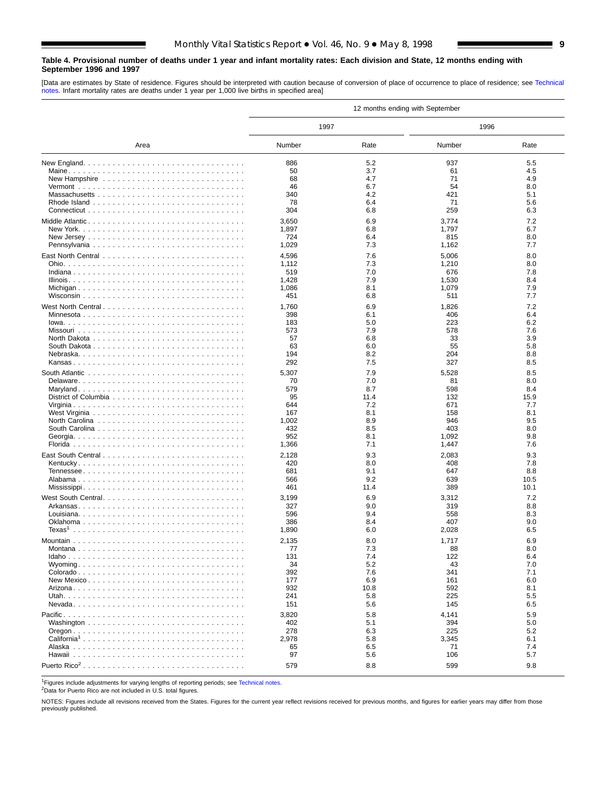#### <span id="page-8-0"></span>**Table 4. Provisional number of deaths under 1 year and infant mortality rates: Each division and State, 12 months ending with September 1996 and 1997**

[Data are estimates by State of residence. Figures should be interpreted with caution because of conversion of place of occurrence to place of residence; see [Technical](#page-16-0) [notes. Inf](#page-16-0)ant mortality rates are deaths under 1 year per 1,000 live births in specified area]

|                         | 12 months ending with September |            |                |            |  |  |  |  |  |  |
|-------------------------|---------------------------------|------------|----------------|------------|--|--|--|--|--|--|
|                         | 1997                            |            | 1996           |            |  |  |  |  |  |  |
| Area                    | Number                          | Rate       | Number         | Rate       |  |  |  |  |  |  |
|                         | 886                             | 5.2        | 937            | 5.5        |  |  |  |  |  |  |
|                         | 50                              | 3.7        | 61             | 4.5        |  |  |  |  |  |  |
|                         | 68                              | 4.7        | 71             | 4.9        |  |  |  |  |  |  |
|                         | 46                              | 6.7        | 54             | 8.0        |  |  |  |  |  |  |
|                         | 340                             | 4.2        | 421            | 5.1        |  |  |  |  |  |  |
|                         | 78                              | 6.4        | 71             | 5.6        |  |  |  |  |  |  |
|                         | 304                             | 6.8        | 259            | 6.3        |  |  |  |  |  |  |
|                         | 3,650                           | 6.9        | 3,774          | 7.2        |  |  |  |  |  |  |
|                         | 1,897                           | 6.8        | 1,797          | 6.7        |  |  |  |  |  |  |
|                         | 724                             | 6.4        | 815            | 8.0        |  |  |  |  |  |  |
|                         | 1,029                           | 7.3        | 1,162          | 7.7        |  |  |  |  |  |  |
|                         | 4,596                           | 7.6        | 5,006          | 8.0        |  |  |  |  |  |  |
|                         | 1,112                           | 7.3        | 1,210          | 8.0        |  |  |  |  |  |  |
|                         | 519                             | 7.0        | 676            | 7.8<br>8.4 |  |  |  |  |  |  |
|                         | 1,428<br>1,086                  | 7.9<br>8.1 | 1,530<br>1,079 | 7.9        |  |  |  |  |  |  |
|                         | 451                             | 6.8        | 511            | 7.7        |  |  |  |  |  |  |
|                         |                                 |            |                |            |  |  |  |  |  |  |
| West North Central      | 1,760<br>398                    | 6.9<br>6.1 | 1,826<br>406   | 7.2<br>6.4 |  |  |  |  |  |  |
|                         | 183                             | 5.0        | 223            | 6.2        |  |  |  |  |  |  |
|                         | 573                             | 7.9        | 578            | 7.6        |  |  |  |  |  |  |
|                         | 57                              | 6.8        | 33             | 3.9        |  |  |  |  |  |  |
|                         | 63                              | 6.0        | 55             | 5.8        |  |  |  |  |  |  |
|                         | 194                             | 8.2        | 204            | 8.8        |  |  |  |  |  |  |
|                         | 292                             | 7.5        | 327            | 8.5        |  |  |  |  |  |  |
|                         | 5,307                           | 7.9        | 5,528          | 8.5        |  |  |  |  |  |  |
|                         | 70                              | 7.0        | 81             | 8.0        |  |  |  |  |  |  |
|                         | 579                             | 8.7        | 598            | 8.4        |  |  |  |  |  |  |
|                         | 95                              | 11.4       | 132            | 15.9       |  |  |  |  |  |  |
|                         | 644                             | 7.2        | 671            | 7.7        |  |  |  |  |  |  |
|                         | 167                             | 8.1<br>8.9 | 158<br>946     | 8.1<br>9.5 |  |  |  |  |  |  |
|                         | 1,002<br>432                    | 8.5        | 403            | 8.0        |  |  |  |  |  |  |
|                         | 952                             | 8.1        | 1,092          | 9.8        |  |  |  |  |  |  |
|                         | 1,366                           | 7.1        | 1,447          | 7.6        |  |  |  |  |  |  |
|                         | 2,128                           | 9.3        | 2,083          | 9.3        |  |  |  |  |  |  |
|                         | 420                             | 8.0        | 408            | 7.8        |  |  |  |  |  |  |
|                         | 681                             | 9.1        | 647            | 8.8        |  |  |  |  |  |  |
|                         | 566                             | 9.2        | 639            | 10.5       |  |  |  |  |  |  |
|                         | 461                             | 11.4       | 389            | 10.1       |  |  |  |  |  |  |
|                         | 3,199                           | 6.9        | 3,312          | 7.2        |  |  |  |  |  |  |
|                         | 327                             | 9.0        | 319            | 8.8        |  |  |  |  |  |  |
|                         | 596                             | 9.4        | 558            | 8.3        |  |  |  |  |  |  |
|                         | 386                             | 8.4        | 407            | 9.0        |  |  |  |  |  |  |
|                         | 1,890                           | 6.0        | 2,028          | 6.5        |  |  |  |  |  |  |
|                         | 2,135                           | 8.0        | 1,717          | 6.9        |  |  |  |  |  |  |
| Montana                 | 77                              | 7.3        | 88             | 8.0        |  |  |  |  |  |  |
|                         | 131                             | 7.4        | 122            | 6.4        |  |  |  |  |  |  |
|                         | 34                              | 5.2        | 43             | 7.0        |  |  |  |  |  |  |
|                         | 392<br>177                      | 7.6<br>6.9 | 341<br>161     | 7.1<br>6.0 |  |  |  |  |  |  |
|                         | 932                             | 10.8       | 592            | 8.1        |  |  |  |  |  |  |
|                         | 241                             | 5.8        | 225            | 5.5        |  |  |  |  |  |  |
|                         | 151                             | 5.6        | 145            | 6.5        |  |  |  |  |  |  |
|                         | 3,820                           | 5.8        | 4,141          | 5.9        |  |  |  |  |  |  |
|                         | 402                             | 5.1        | 394            | 5.0        |  |  |  |  |  |  |
|                         | 278                             | 6.3        | 225            | 5.2        |  |  |  |  |  |  |
| California <sup>1</sup> | 2,978                           | 5.8        | 3,345          | 6.1        |  |  |  |  |  |  |
|                         | 65                              | 6.5        | 71             | 7.4        |  |  |  |  |  |  |
|                         | 97                              | 5.6        | 106            | 5.7        |  |  |  |  |  |  |
|                         | 579                             | 8.8        | 599            | 9.8        |  |  |  |  |  |  |

<sup>1</sup>Figures include adjustments for varying lengths of reporting periods; see [Technical notes.](#page-16-0)

2Data for Puerto Rico are not included in U.S. total figures.

NOTES: Figures include all revisions received from the States. Figures for the current year reflect revisions received for previous months, and figures for earlier years may differ from those previously published.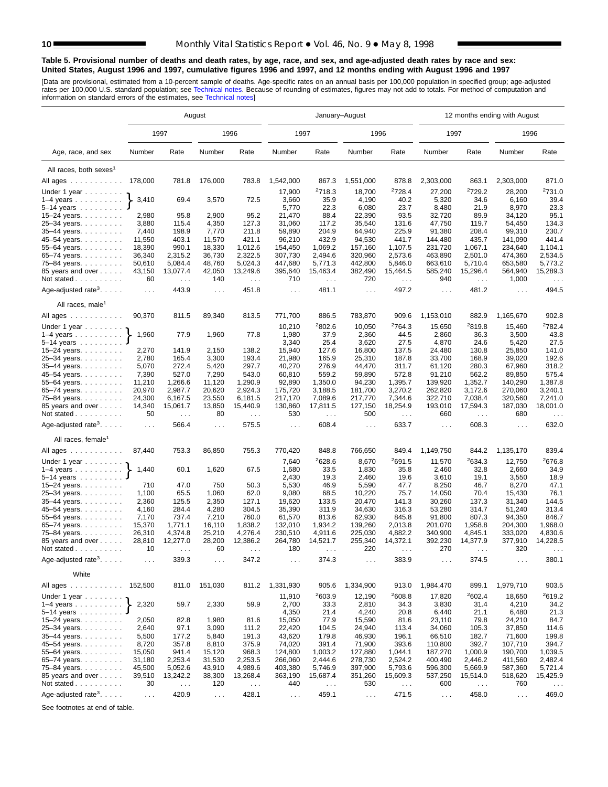#### **Table 5. Provisional number of deaths and death rates, by age, race, and sex, and age-adjusted death rates by race and sex: United States, August 1996 and 1997, cumulative figures 1996 and 1997, and 12 months ending with August 1996 and 1997**

[Data are provisional, estimated from a 10-percent sample of deaths. Age-specific rates on an annual basis per 100,000 population in specified group; age-adjusted<br>rates per 100,000 U.S. standard population; see Technical n

|                                             | August          |                               |                  |                               |                      |                                 | January-August     |                               | 12 months ending with August |                    |                      |                        |  |
|---------------------------------------------|-----------------|-------------------------------|------------------|-------------------------------|----------------------|---------------------------------|--------------------|-------------------------------|------------------------------|--------------------|----------------------|------------------------|--|
|                                             |                 | 1997                          |                  | 1996                          | 1997                 |                                 | 1996               |                               | 1997                         |                    | 1996                 |                        |  |
| Age, race, and sex                          | Number          | Rate                          | Number           | Rate                          | Number               | Rate                            | Number             | Rate                          | Number                       | Rate               | Number               | Rate                   |  |
| All races, both sexes <sup>1</sup>          |                 |                               |                  |                               |                      |                                 |                    |                               |                              |                    |                      |                        |  |
| All ages                                    | 178,000         | 781.8                         | 176,000          | 783.8                         | 1,542,000            | 867.3                           | 1,551,000          | 878.8                         | 2,303,000                    | 863.1              | 2,303,000            | 871.0                  |  |
| Under 1 year                                |                 |                               |                  |                               | 17,900               | 2718.3                          | 18,700             | <sup>2</sup> 728.4            | 27,200                       | <sup>2</sup> 729.2 | 28,200               | 2731.0                 |  |
| $1-4$ years $\ldots$ $\ldots$ $\ldots$ .    | 3,410           | 69.4                          | 3,570            | 72.5                          | 3,660                | 35.9                            | 4,190              | 40.2                          | 5,320                        | 34.6               | 6,160                | 39.4                   |  |
| 5–14 years $\ldots$                         |                 |                               |                  |                               | 5,770                | 22.3                            | 6,080              | 23.7                          | 8,480                        | 21.9               | 8,970                | 23.3                   |  |
| 15-24 years.                                | 2,980           | 95.8                          | 2,900            | 95.2                          | 21,470               | 88.4                            | 22,390             | 93.5                          | 32,720                       | 89.9               | 34,120               | 95.1                   |  |
| 25-34 years.                                | 3,880           | 115.4                         | 4,350            | 127.3                         | 31,060               | 117.2                           | 35,540             | 131.6                         | 47,750                       | 119.7              | 54,450               | 134.3                  |  |
| 35-44 years.                                | 7,440           | 198.9                         | 7,770            | 211.8                         | 59,890               | 204.9                           | 64,940             | 225.9                         | 91,380                       | 208.4              | 99,310               | 230.7                  |  |
| 45-54 years.                                | 11,550          | 403.1                         | 11,570           | 421.1                         | 96,210               | 432.9                           | 94,530             | 441.7                         | 144,480                      | 435.7              | 141,090              | 441.4                  |  |
| 55-64 years.                                | 18,390          | 990.1                         | 18,330           | 1,012.6                       | 154,450              | 1,069.2                         | 157,160            | 1,107.5                       | 231,720                      | 1,067.1            | 234,640              | 1,104.1                |  |
| 65-74 years.                                | 36,340          | 2,315.2                       | 36,730           | 2,322.5                       | 307,730              | 2,494.6                         | 320,960            | 2,573.6                       | 463,890                      | 2,501.0            | 474,360              | 2,534.5                |  |
| 75-84 years.                                | 50,610          | 5,084.4                       | 48,760           | 5,024.3                       | 447,680              | 5,771.3                         | 442,800            | 5,846.0                       | 663,610                      | 5,710.4            | 653,580              | 5,773.2                |  |
| 85 years and over                           | 43,150          | 13,077.4                      | 42,050           | 13,249.6                      | 395,640              | 15,463.4                        | 382,490            | 15,464.5                      | 585,240                      | 15,296.4           | 564,940              | 15,289.3               |  |
| Not stated $\ldots$                         | 60              | $\sim 100$                    | 140              | $\sim$ $\sim$ $\sim$          | 710                  | $\sim$ $\sim$                   | 720                | $\ldots$                      | 940                          | $\cdots$           | 1,000                | $\sim$ .               |  |
| Age-adjusted rate <sup>3</sup> . $\ldots$ . | $\sim 100$      | 443.9                         | $\ldots$         | 451.8                         | $\cdots$             | 481.1                           | $\sim 100$         | 497.2                         | $\sim 100$                   | 481.2              | $\sim 10$            | 494.5                  |  |
| All races, male <sup>1</sup>                |                 |                               |                  |                               |                      |                                 |                    |                               |                              |                    |                      |                        |  |
| All ages                                    | 90,370          | 811.5                         | 89,340           | 813.5                         | 771,700              | 886.5                           | 783,870            | 909.6                         | 1,153,010                    | 882.9              | 1,165,670            | 902.8                  |  |
| Under 1 year $\ldots \ldots$                |                 |                               |                  |                               | 10,210               | 2802.6                          | 10,050             | 2764.3                        | 15,650                       | 2819.8             | 15,460               | <sup>2</sup> 782.4     |  |
| $1-4$ years                                 | 1,960           | 77.9                          | 1,960            | 77.8                          | 1,980                | 37.9                            | 2,360              | 44.5                          | 2,860                        | 36.3               | 3,500                | 43.8                   |  |
| 5-14 years                                  |                 |                               |                  |                               | 3,340                | 25.4                            | 3,620              | 27.5                          | 4,870                        | 24.6               | 5,420                | 27.5                   |  |
| 15–24 years. $\ldots$                       | 2,270           | 141.9                         | 2,150            | 138.2                         | 15,940               | 127.6                           | 16,800             | 137.5                         | 24,480                       | 130.8              | 25,850               | 141.0                  |  |
| 25-34 years.                                | 2,780           | 165.4                         | 3,300            | 193.4                         | 21,980               | 165.9                           | 25,310             | 187.8                         | 33,700                       | 168.9              | 39,020               | 192.6                  |  |
| 35-44 years.                                | 5,070           | 272.4                         | 5,420            | 297.7                         | 40,270               | 276.9                           | 44,470             | 311.7                         | 61,120                       | 280.3              | 67,960               | 318.2                  |  |
| 45–54 years                                 | 7,390           | 527.0                         | 7,290            | 543.0                         | 60,810               | 559.2                           | 59,890             | 572.8                         | 91,210                       | 562.2              | 89,850               | 575.4                  |  |
| 55-64 years.                                | 11,210          | 1,266.6                       | 11,120           | 1,290.9                       | 92,890               | 1,350.0                         | 94,230             | 1,395.7                       | 139,920                      | 1,352.7            | 140,290              | 1,387.8                |  |
| 65-74 years.                                | 20,970          | 2,987.7                       | 20,620           | 2,924.3                       | 175,720              | 3.188.5                         | 181,700            | 3,270.2                       | 262,820                      | 3,172.6            | 270,060              | 3.240.1                |  |
| 75-84 years.                                | 24,300          | 6,167.5                       | 23,550           | 6,181.5                       | 217,170              | 7,089.6                         | 217,770            | 7,344.6                       | 322,710                      | 7,038.4            | 320,560              | 7,241.0                |  |
| 85 years and over<br>Not stated             | 14,340<br>50    | 15,061.7                      | 13,850<br>80     | 15,440.9                      | 130,860<br>530       | 17,811.5                        | 127,150<br>500     | 18,254.9                      | 193,010<br>660               | 17,594.3           | 187,030<br>680       | 18,001.0               |  |
| Age-adjusted rate <sup>3</sup> . $\ldots$ . | $\ldots$        | $\sim$ $\sim$ $\sim$<br>566.4 | $\ldots$         | $\sim$ $\sim$ $\sim$<br>575.5 | $\sim$ .             | $\sim$ $\sim$<br>608.4          | $\ldots$           | $\sim$ $\sim$ $\sim$<br>633.7 | $\ldots$                     | $\sim$ .<br>608.3  | $\sim 10$            | $\sim$ $\sim$<br>632.0 |  |
| All races, female <sup>1</sup>              |                 |                               |                  |                               |                      |                                 |                    |                               |                              |                    |                      |                        |  |
| All ages                                    | 87,440          | 753.3                         | 86,850           | 755.3                         | 770,420              | 848.8                           | 766,650            | 849.4                         | 1,149,750                    | 844.2              | 1,135,170            | 839.4                  |  |
| Under 1 year                                |                 |                               |                  |                               | 7,640                | 2628.6                          | 8,670              | 2691.5                        | 11,570                       | 2634.3             | 12,750               | 2676.8                 |  |
| $1-4$ years                                 | 1,440           | 60.1                          | 1,620            | 67.5                          | 1,680                | 33.5                            | 1,830              | 35.8                          | 2,460                        | 32.8               | 2,660                | 34.9                   |  |
| 5-14 years                                  |                 |                               |                  |                               | 2,430                | 19.3                            | 2,460              | 19.6                          | 3,610                        | 19.1               | 3,550                | 18.9                   |  |
| 15-24 years.                                | 710             | 47.0                          | 750              | 50.3                          | 5,530                | 46.9                            | 5,590              | 47.7                          | 8,250                        | 46.7               | 8,270                | 47.1                   |  |
| 25-34 years.                                | 1,100           | 65.5                          | 1,060            | 62.0                          | 9,080                | 68.5                            | 10,220             | 75.7                          | 14,050                       | 70.4               | 15,430               | 76.1                   |  |
| 35-44 years.                                | 2,360           | 125.5                         | 2,350            | 127.1                         | 19,620               | 133.5                           | 20,470             | 141.3                         | 30,260                       | 137.3              | 31,340               | 144.5                  |  |
| 45-54 years.                                | 4,160           | 284.4                         | 4,280            | 304.5                         | 35,390               | 311.9                           | 34,630             | 316.3                         | 53,280                       | 314.7              | 51,240               | 313.4                  |  |
| 55-64 years.                                | 7,170           | 737.4                         | 7,210            | 760.0                         | 61,570               | 813.6                           | 62,930             | 845.8                         | 91,800                       | 807.3              | 94,350               | 846.7                  |  |
| 65-74 years.                                | 15,370          | 1,771.1                       | 16,110           | 1,838.2                       | 132,010              | 1,934.2                         | 139,260            | 2,013.8                       | 201,070                      | 1,958.8            | 204,300              | 1,968.0                |  |
| 75-84 years.                                | 26,310          | 4,374.8<br>12,277.0           | 25,210<br>28,200 | 4,276.4<br>12,386.2           | 230,510              | 4,911.6                         | 225,030<br>255,340 | 4,882.2                       | 340,900<br>392,230           | 4,845.1            | 333,020              | 4,830.6<br>14,228.5    |  |
| 85 years and over<br>Not stated $\ldots$    | 28,810<br>10    |                               | 60               |                               | 264,780<br>180       | 14,521.7                        | 220                | 14,372.1                      | 270                          | 14,377.9           | 377,910<br>320       |                        |  |
| Age-adjusted rate <sup>3</sup> .            | $\cdots$        | 339.3                         | $\sim$ $\sim$    | 347.2                         | $\cdots$             | 374.3                           | $\sim 100$         | 383.9                         | $\sim$ $\sim$ $\sim$         | 374.5              | $\sim$ $\sim$ $\sim$ | 380.1                  |  |
| White                                       |                 |                               |                  |                               |                      |                                 |                    |                               |                              |                    |                      |                        |  |
| All ages                                    | 152,500         | 811.0                         | 151,030          | 811.2                         | 1,331,930            | 905.6                           | 1,334,900          | 913.0                         | 1,984,470                    | 899.1              | 1,979,710            | 903.5                  |  |
| Under 1 year $\ldots \ldots$                |                 |                               |                  |                               | 11,910               | <sup>2</sup> 603.9              | 12,190             | <sup>2</sup> 608.8            | 17,820                       | 2602.4             | 18,650               | <sup>2</sup> 619.2     |  |
| $1-4$ years                                 | 2,320           | 59.7                          | 2,330            | 59.9                          | 2,700                | 33.3                            | 2,810              | 34.3                          | 3,830                        | 31.4               | 4,210                | 34.2                   |  |
| $5 - 14$ years                              |                 |                               |                  |                               | 4,350                | 21.4                            | 4,240              | 20.8                          | 6,440                        | 21.1               | 6,480                | 21.3                   |  |
| $15 - 24$ years.                            | 2,050           | 82.8<br>97.1                  | 1,980<br>3,090   | 81.6                          | 15,050               | 77.9                            | 15,590             | 81.6<br>113.4                 | 23,110<br>34,060             | 79.8               | 24,210               | 84.7<br>114.6          |  |
| 25-34 years.<br>35-44 years.                | 2,640           |                               |                  | 111.2                         | 22,420               | 104.5                           | 24,940             |                               |                              | 105.3              | 37,850               |                        |  |
| 45-54 years.                                | 5,500           | 177.2<br>357.8                | 5,840            | 191.3                         | 43,620<br>74,020     | 179.8<br>391.4                  | 46,930             | 196.1<br>393.6                | 66,510<br>110,800            | 182.7              | 71,600               | 199.8<br>394.7         |  |
| 55-64 years.                                | 8,720<br>15,050 | 941.4                         | 8,810<br>15,120  | 375.9<br>968.3                | 124,800              | 1,003.2                         | 71,900<br>127,880  | 1,044.1                       | 187,270                      | 392.7<br>1,000.9   | 107,710<br>190,700   | 1,039.5                |  |
| 65-74 years.                                | 31,180          | 2,253.4                       | 31,530           | 2,253.5                       | 266,060              | 2,444.6                         | 278,730            | 2,524.2                       | 400,490                      | 2,446.2            | 411,560              | 2,482.4                |  |
| 75-84 years.                                | 45,500          | 5,052.6                       | 43,910           | 4,989.6                       | 403,380              | 5,746.9                         | 397,900            | 5,793.6                       | 596,300                      | 5,669.9            | 587,360              | 5,721.4                |  |
| 85 years and over                           | 39,510          | 13,242.2                      | 38,300           | 13,268.4                      | 363,190              | 15,687.4                        | 351,260            | 15,609.3                      | 537,250                      | 15,514.0           | 518,620              | 15,425.9               |  |
| Not stated                                  | 30              | $\sim$ $\sim$                 | 120              | $\sim$ $\sim$                 | 440                  | $\epsilon \rightarrow \epsilon$ | 530                | $\sim 100$                    | 600                          | $\sim$ $\sim$      | 760                  | $\sim$ $\sim$          |  |
|                                             |                 |                               |                  |                               |                      |                                 |                    |                               |                              |                    |                      |                        |  |
| Age-adjusted rate <sup>3</sup> .            | $\cdots$        | 420.9                         | $\sim$ $\sim$    | 428.1                         | $\sim$ $\sim$ $\sim$ | 459.1                           | $\sim$ $\sim$      | 471.5                         | $\sim$ $\sim$                | 458.0              | $\sim$ $\sim$        | 469.0                  |  |

See footnotes at end of table.

<span id="page-9-0"></span>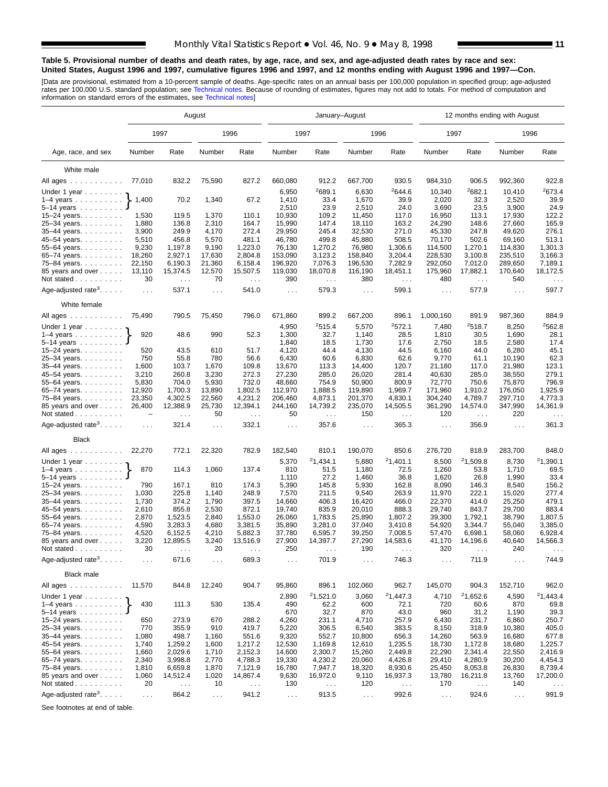#### **Table 5. Provisional number of deaths and death rates, by age, race, and sex, and age-adjusted death rates by race and sex: United States, August 1996 and 1997, cumulative figures 1996 and 1997, and 12 months ending with August 1996 and 1997—Con.**

[Data are provisional, estimated from a 10-percent sample of deaths. Age-specific rates on an annual basis per 100,000 population in specified group; age-adjusted<br>rates per 100,000 U.S. standard population; see Technical n

|                                                                    | August         |                                  |                |                                  |                      | January-August                   |                      |                                  | 12 months ending with August |                      |                      |                                  |  |
|--------------------------------------------------------------------|----------------|----------------------------------|----------------|----------------------------------|----------------------|----------------------------------|----------------------|----------------------------------|------------------------------|----------------------|----------------------|----------------------------------|--|
|                                                                    |                | 1997                             |                | 1996                             | 1997                 |                                  | 1996                 |                                  | 1997                         |                      |                      | 1996                             |  |
| Age, race, and sex                                                 | Number         | Rate                             | Number         | Rate                             | Number               | Rate                             | Number               | Rate                             | Number                       | Rate                 | Number               | Rate                             |  |
| White male                                                         |                |                                  |                |                                  |                      |                                  |                      |                                  |                              |                      |                      |                                  |  |
| All ages                                                           | 77,010         | 832.2                            | 75,590         | 827.2                            | 660,080              | 912.2                            | 667,700              | 930.5                            | 984,310                      | 906.5                | 992,360              | 922.8                            |  |
|                                                                    |                |                                  |                |                                  | 6,950                | 2689.1                           | 6,630                | 2644.6                           | 10,340                       | 2682.1               | 10,410               | 2673.4                           |  |
| Under 1 year<br>$1-4$ years $\ldots$ $\ldots$ $\ldots$ .           | 1,400          | 70.2                             | 1,340          | 67.2                             | 1,410                | 33.4                             | 1,670                | 39.9                             | 2,020                        | 32.3                 | 2,520                | 39.9                             |  |
| $5 - 14$ years                                                     |                |                                  |                |                                  | 2,510                | 23.9                             | 2,510                | 24.0                             | 3,690                        | 23.5                 | 3,900                | 24.9                             |  |
| 15-24 years.                                                       | 1,530          | 119.5                            | 1,370          | 110.1                            | 10,930               | 109.2                            | 11,450               | 117.0                            | 16,950                       | 113.1                | 17,930               | 122.2                            |  |
| 25-34 years.                                                       | 1,880          | 136.8                            | 2,310          | 164.7                            | 15,990               | 147.4                            | 18,110               | 163.2                            | 24,290                       | 148.6                | 27,660               | 165.9                            |  |
| 35-44 years.                                                       | 3,900          | 249.9                            | 4,170          | 272.4                            | 29,950               | 245.4                            | 32,530               | 271.0                            | 45,330                       | 247.8                | 49,620               | 276.1                            |  |
| 45-54 years.                                                       | 5,510          | 456.8                            | 5,570          | 481.1                            | 46,780               | 499.8                            | 45,880               | 508.5                            | 70,170                       | 502.6                | 69,160               | 513.1                            |  |
| 55-64 years.                                                       | 9,230          | 1,197.8                          | 9,190          | 1,223.0                          | 76,130               | 1,270.2                          | 76,980               | 1,306.6                          | 114,500                      | 1,270.1              | 114,830              | 1,301.3                          |  |
| 65-74 years                                                        | 18,260         | 2,927.1                          | 17,630         | 2,804.8                          | 153,090              | 3,123.2                          | 158,840              | 3,204.4                          | 228,530                      | 3,100.8              | 235,510              | 3,166.3                          |  |
| 75-84 years.                                                       | 22,150         | 6,190.3                          | 21,360         | 6,158.4                          | 196,920              | 7,076.3                          | 196,530              | 7,282.9                          | 292,050                      | 7,012.0              | 289,650              | 7,189.1                          |  |
| 85 years and over                                                  | 13,110         | 15,374.5                         | 12,570         | 15,507.5                         | 119,030              | 18,070.8                         | 116,190              | 18,451.1                         | 175,960                      | 17,882.1             | 170,640              | 18,172.5                         |  |
| Not stated $\ldots$<br>Age-adjusted rate <sup>3</sup> . $\ldots$ . | 30<br>$\cdots$ | $\ldots$<br>537.1                | 70<br>$\ldots$ | $\ldots$<br>541.0                | 390<br>$\sim 100$    | $\sim$ $\sim$<br>579.3           | 380<br>$\sim 100$    | $\sim$ $\sim$<br>599.1           | 480<br>$\sim 100$            | $\ldots$<br>577.9    | 540<br>$\cdots$      | $\cdots$<br>597.7                |  |
| White female                                                       |                |                                  |                |                                  |                      |                                  |                      |                                  |                              |                      |                      |                                  |  |
| All ages                                                           | 75,490         | 790.5                            | 75,450         | 796.0                            | 671,860              | 899.2                            | 667,200              | 896.1                            | 1,000,160                    | 891.9                | 987,360              | 884.9                            |  |
| Under 1 year $\ldots \ldots$                                       |                |                                  |                |                                  | 4,950                | 2515.4                           | 5,570                | 2572.1                           | 7,480                        | 2518.7               | 8,250                | <sup>2</sup> 562.8               |  |
| $1-4$ years                                                        | 920            | 48.6                             | 990            | 52.3                             | 1,300                | 32.7                             | 1,140                | 28.5                             | 1,810                        | 30.5                 | 1,690                | 28.1                             |  |
| 5-14 years                                                         |                |                                  |                |                                  | 1,840                | 18.5                             | 1,730                | 17.6                             | 2,750                        | 18.5                 | 2,580                | 17.4                             |  |
| 15–24 years. $\ldots$                                              | 520            | 43.5                             | 610            | 51.7                             | 4,120                | 44.4                             | 4,130                | 44.5                             | 6,160                        | 44.0                 | 6,280                | 45.1                             |  |
| 25-34 years.                                                       | 750            | 55.8                             | 780            | 56.6                             | 6,430                | 60.6                             | 6,830                | 62.6                             | 9,770                        | 61.1                 | 10.190               | 62.3                             |  |
| 35-44 years.                                                       | 1,600          | 103.7                            | 1,670          | 109.8                            | 13,670               | 113.3                            | 14,400               | 120.7                            | 21,180                       | 117.0                | 21,980               | 123.1                            |  |
| 45–54 years                                                        | 3,210          | 260.8                            | 3,230          | 272.3                            | 27,230               | 285.0                            | 26,020               | 281.4                            | 40,630                       | 285.0                | 38,550               | 279.1                            |  |
| 55-64 years.                                                       | 5,830          | 704.0                            | 5,930          | 732.0                            | 48,660               | 754.9                            | 50,900               | 800.9                            | 72,770                       | 750.6                | 75,870               | 796.9                            |  |
| 65-74 years.                                                       | 12,920         | 1,700.3                          | 13,890         | 1,802.5                          | 112,970              | 1,888.5                          | 119,890              | 1,969.7                          | 171,960                      | 1,910.2              | 176,050              | 1,925.9                          |  |
| 75-84 years.                                                       | 23,350         | 4,302.5                          | 22,560         | 4,231.2                          | 206,460              | 4,873.1                          | 201,370              | 4,830.1                          | 304,240                      | 4,789.7              | 297,710              | 4,773.3                          |  |
| 85 years and over<br>Not stated                                    | 26,400<br>÷    | 12,388.9<br>$\sim$ $\sim$ $\sim$ | 25,730<br>50   | 12,394.1<br>$\sim$ $\sim$ $\sim$ | 244,160<br>50        | 14,739.2<br>$\sim$ $\sim$ $\sim$ | 235,070<br>150       | 14,505.5<br>$\sim$ $\sim$ $\sim$ | 361,290<br>120               | 14,574.0<br>$\sim$ . | 347,990<br>220       | 14,361.9<br>$\sim$ $\sim$ $\sim$ |  |
| Age-adjusted rate <sup>3</sup> . $\ldots$ .                        | $\sim$ .       | 321.4                            | $\ldots$       | 332.1                            | $\sim$ $\sim$ $\sim$ | 357.6                            | $\sim 100$           | 365.3                            | $\sim 100$                   | 356.9                | $\mathbf{1}$         | 361.3                            |  |
| <b>Black</b>                                                       |                |                                  |                |                                  |                      |                                  |                      |                                  |                              |                      |                      |                                  |  |
| All ages                                                           | 22,270         | 772.1                            | 22,320         | 782.9                            | 182,540              | 810.1                            | 190,070              | 850.6                            | 276,720                      | 818.9                | 283,700              | 848.0                            |  |
| Under 1 year                                                       |                |                                  |                |                                  | 5,370                | 21,434.1                         | 5,880                | 21,401.1                         | 8,500                        | 21,509.8             | 8,730                | 21,390.1                         |  |
| $1-4$ years                                                        | 870            | 114.3                            | 1,060          | 137.4                            | 810                  | 51.5                             | 1,180                | 72.5                             | 1,260                        | 53.8                 | 1,710                | 69.5                             |  |
| 5-14 years                                                         |                |                                  |                |                                  | 1,110                | 27.2                             | 1,460                | 36.8                             | 1,620                        | 26.8                 | 1,990                | 33.4                             |  |
| 15-24 years.                                                       | 790            | 167.1                            | 810            | 174.3                            | 5,390                | 145.8                            | 5,930                | 162.8                            | 8,090                        | 146.3                | 8,540                | 156.2                            |  |
| 25-34 years.                                                       | 1,030          | 225.8                            | 1,140          | 248.9                            | 7,570                | 211.5                            | 9,540                | 263.9                            | 11,970                       | 222.1                | 15,020               | 277.4                            |  |
| 35-44 years.                                                       | 1,730          | 374.2<br>855.8                   | 1,790          | 397.5<br>872.1                   | 14,660<br>19,740     | 406.3<br>835.9                   | 16,420               | 466.0<br>888.3                   | 22,370<br>29,740             | 414.0<br>843.7       | 25,250               | 479.1<br>883.4                   |  |
| 45–54 years<br>55-64 years.                                        | 2,610<br>2,870 | 1,523.5                          | 2,530<br>2,840 | 1,553.0                          | 26,060               | 1,783.5                          | 20,010<br>25,890     | 1,807.2                          | 39,300                       | 1,792.1              | 29,700<br>38,790     | 1,807.5                          |  |
| 65-74 years.                                                       | 4,590          | 3,283.3                          | 4,680          | 3,381.5                          | 35,890               | 3,281.0                          | 37,040               | 3,410.8                          | 54,920                       | 3,344.7              | 55,040               | 3,385.0                          |  |
| 75-84 years.                                                       | 4,520          | 6,152.5                          | 4,210          | 5,882.3                          | 37,780               | 6,595.7                          | 39,250               | 7,008.5                          | 57,470                       | 6,698.1              | 58,060               | 6,928.4                          |  |
| 85 years and over                                                  | 3,220          | 12,895.5                         | 3,240          | 13,516.9                         | 27,900               | 14,397.7                         | 27,290               | 14,583.6                         | 41,170                       | 14,196.6             | 40,640               | 14,566.3                         |  |
| Not stated $\ldots$                                                | 30             |                                  | 20             |                                  | 250                  |                                  | 190                  |                                  | 320                          |                      | 240                  |                                  |  |
| Age-adjusted rate <sup>3</sup> .                                   | $\sim$ .       | 671.6                            | $\sim$ $\sim$  | 689.3                            | $\sim$ $\sim$ $\sim$ | 701.9                            | $\sim$ $\sim$ $\sim$ | 746.3                            | $\sim$ $\sim$ $\sim$         | 711.9                | $\sim$ $\sim$        | 744.9                            |  |
| <b>Black male</b>                                                  |                |                                  |                |                                  |                      |                                  |                      |                                  |                              |                      |                      |                                  |  |
| All ages                                                           | 11,570         | 844.8                            | 12,240         | 904.7                            | 95,860               | 896.1                            | 102,060              | 962.7                            | 145,070                      | 904.3                | 152,710              | 962.0                            |  |
| Under 1 year $\ldots \ldots$                                       |                |                                  |                |                                  | 2,890                | 21,521.0                         | 3,060                | 21,447.3                         | 4,710                        | 21,652.6             | 4,590                | 21,443.4                         |  |
| $1-4$ years $\ldots$ $\ldots$ $\ldots$ .                           | 430            | 111.3                            | 530            | 135.4                            | 490                  | 62.2                             | 600                  | 72.1                             | 720                          | 60.6                 | 870                  | 69.8                             |  |
| 5–14 years $\ldots$                                                |                |                                  |                |                                  | 670                  | 32.7                             | 870                  | 43.0                             | 960                          | 31.2                 | 1,190                | 39.3                             |  |
| $15 - 24$ years.                                                   | 650            | 273.9                            | 670            | 288.2                            | 4,260                | 231.1                            | 4,710                | 257.9                            | 6,430                        | 231.7                | 6,860                | 250.7                            |  |
| 25-34 years.                                                       | 770            | 355.9                            | 910            | 419.7                            | 5,220                | 306.5                            | 6,540                | 383.5                            | 8,150                        | 318.9                | 10,380               | 405.0                            |  |
| 35-44 years.                                                       | 1,080          | 498.7                            | 1,160          | 551.6                            | 9,320                | 552.7                            | 10,800               | 656.3                            | 14,260                       | 563.9                | 16,680               | 677.8                            |  |
| 45-54 years.<br>55-64 years.                                       | 1,740<br>1,660 | 1,259.2<br>2,029.6               | 1,600<br>1,710 | 1,217.2<br>2,152.3               | 12,530<br>14,600     | 1,169.8<br>2,300.7               | 12,610<br>15,260     | 1,235.5<br>2,449.8               | 18,730<br>22,290             | 1,172.8<br>2,341.4   | 18,680<br>22,550     | 1,225.7<br>2,416.9               |  |
| 65-74 years.                                                       | 2,340          | 3,998.8                          | 2,770          | 4,788.3                          | 19,330               | 4,230.2                          | 20,060               | 4,426.8                          | 29,410                       | 4,280.9              | 30,200               | 4,454.3                          |  |
| 75-84 years.                                                       | 1,810          | 6,659.8                          | 1,870          | 7,121.9                          | 16,780               | 7,947.7                          | 18,320               | 8,930.6                          | 25,450                       | 8,053.8              | 26,830               | 8,739.4                          |  |
| 85 years and over                                                  | 1,060          | 14,512.4                         | 1,020          | 14,867.4                         | 9,630                | 16,972.0                         | 9,110                | 16,937.3                         | 13,780                       | 16,211.8             | 13,760               | 17,200.0                         |  |
| Not stated                                                         | 20             | $\epsilon \rightarrow \infty$    | 10             | $\ldots$                         | 130                  | $\epsilon \rightarrow \epsilon$  | 120                  | $\sim$ $\sim$ $\sim$             | 170                          | $\sim$ $\sim$        | 140                  |                                  |  |
| Age-adjusted rate <sup>3</sup> .                                   | $\sim$ $\sim$  | 864.2                            | $\sim$ $\sim$  | 941.2                            | $\sim 100$           | 913.5                            | $\sim 100$           | 992.6                            | $\sim$ $\sim$                | 924.6                | $\sim$ $\sim$ $\sim$ | 991.9                            |  |

See footnotes at end of table.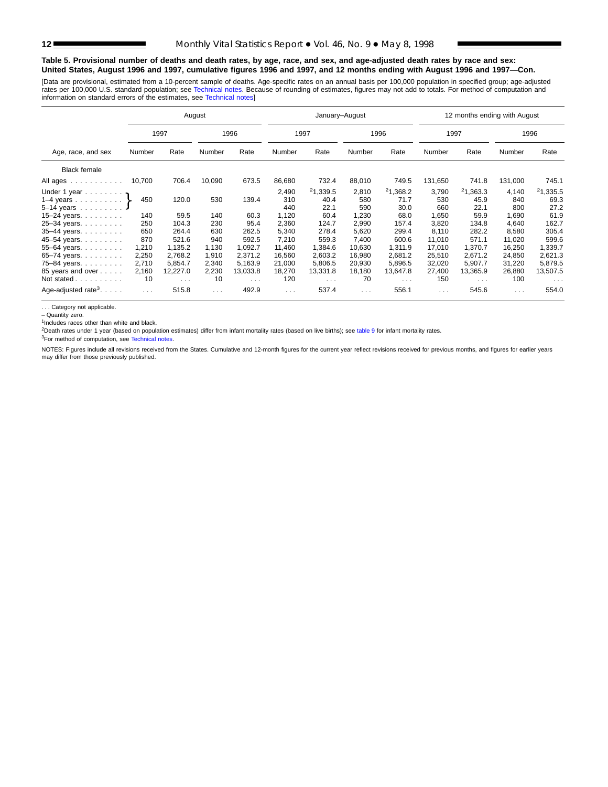#### **Table 5. Provisional number of deaths and death rates, by age, race, and sex, and age-adjusted death rates by race and sex: United States, August 1996 and 1997, cumulative figures 1996 and 1997, and 12 months ending with August 1996 and 1997—Con.**

[Data are provisional, estimated from a 10-p[ercent sample of deaths. Age](#page-16-0)-specific rates on an annual basis per 100,000 population in specified group; age-adjusted rates per 100,000 U.S. standard population; see Technical notes. Because of rounding of estimates, figures may not add to totals. For method of computation and<br>information on standard errors of the estimates, see Technical

|                                                                                               |                                        |                                           | August                                 |                                           |                                             | January-August                            |                                            |                                           |                                             | 12 months ending with August              |                                             |                                           |
|-----------------------------------------------------------------------------------------------|----------------------------------------|-------------------------------------------|----------------------------------------|-------------------------------------------|---------------------------------------------|-------------------------------------------|--------------------------------------------|-------------------------------------------|---------------------------------------------|-------------------------------------------|---------------------------------------------|-------------------------------------------|
|                                                                                               |                                        | 1997                                      |                                        | 1996                                      |                                             | 1997                                      |                                            | 1996                                      | 1997                                        |                                           |                                             | 1996                                      |
| Age, race, and sex                                                                            | Number                                 | Rate                                      | Number                                 | Rate                                      | Number                                      | Rate                                      | Number                                     | Rate                                      | Number                                      | Rate                                      | Number                                      | Rate                                      |
| <b>Black female</b>                                                                           |                                        |                                           |                                        |                                           |                                             |                                           |                                            |                                           |                                             |                                           |                                             |                                           |
| All ages                                                                                      | 10,700                                 | 706.4                                     | 10,090                                 | 673.5                                     | 86,680                                      | 732.4                                     | 88,010                                     | 749.5                                     | 131,650                                     | 741.8                                     | 131,000                                     | 745.1                                     |
| Under 1 year $\cdot$<br>1–4 years $\}$<br>5-14 years<br>15-24 years. $\ldots$<br>25-34 years. | 450<br>140<br>250                      | 120.0<br>59.5<br>104.3                    | 530<br>140<br>230                      | 139.4<br>60.3<br>95.4                     | 2,490<br>310<br>440<br>1,120<br>2,360       | 21,339.5<br>40.4<br>22.1<br>60.4<br>124.7 | 2,810<br>580<br>590<br>1,230<br>2,990      | 21,368.2<br>71.7<br>30.0<br>68.0<br>157.4 | 3,790<br>530<br>660<br>1,650<br>3,820       | 21,363.3<br>45.9<br>22.1<br>59.9<br>134.8 | 4,140<br>840<br>800<br>1,690<br>4,640       | 21,335.5<br>69.3<br>27.2<br>61.9<br>162.7 |
| 35-44 years.<br>45-54 years.                                                                  | 650<br>870                             | 264.4<br>521.6                            | 630<br>940                             | 262.5<br>592.5                            | 5,340<br>7,210                              | 278.4<br>559.3                            | 5,620<br>7,400                             | 299.4<br>600.6                            | 8,110<br>11,010                             | 282.2<br>571.1                            | 8,580<br>11,020                             | 305.4<br>599.6                            |
| 55-64 years.<br>65-74 years.<br>75-84 years.<br>85 years and over<br>Not stated               | 1,210<br>2,250<br>2,710<br>2,160<br>10 | 1,135.2<br>2,768.2<br>5,854.7<br>12,227.0 | 1,130<br>1,910<br>2,340<br>2,230<br>10 | 1,092.7<br>2,371.2<br>5,163.9<br>13,033.8 | 11,460<br>16,560<br>21,000<br>18,270<br>120 | 1,384.6<br>2,603.2<br>5,806.5<br>13,331.8 | 10,630<br>16,980<br>20,930<br>18,180<br>70 | 1,311.9<br>2,681.2<br>5,896.5<br>13,647.8 | 17,010<br>25,510<br>32,020<br>27,400<br>150 | 1,370.7<br>2.671.2<br>5,907.7<br>13,365.9 | 16,250<br>24,850<br>31,220<br>26,880<br>100 | 1,339.7<br>2,621.3<br>5,879.5<br>13,507.5 |
| Age-adjusted rate <sup>3</sup> . $\ldots$ .                                                   | $\sim 100$                             | $\sim$ $\sim$ $\sim$<br>515.8             | $\sim 100$                             | $\sim$ $\sim$ $\sim$<br>492.9             | $\sim$ $\sim$ $\sim$                        | $\sim$ $\sim$ $\sim$<br>537.4             | $\cdots$                                   | $\sim$ $\sim$ $\sim$<br>556.1             | $\sim 100$ km s $^{-1}$                     | $\sim$ $\sim$ $\sim$<br>545.6             | $\cdots$                                    | $\sim$ $\sim$ $\sim$<br>554.0             |

. . . Category not applicable.

– Quantity zero.

<sup>1</sup>Includes races other than white and black.

<sup>2</sup>Death rates under 1 year ([based on population estim](#page-16-0)ates) differ from infant mortality rates (based on live births); see [table 9](#page-15-0) for infant mortality rates.

3For method of computation, see Technical notes.

NOTES: Figures include all revisions received from the States. Cumulative and 12-month figures for the current year reflect revisions received for previous months, and figures for earlier years may differ from those previously published.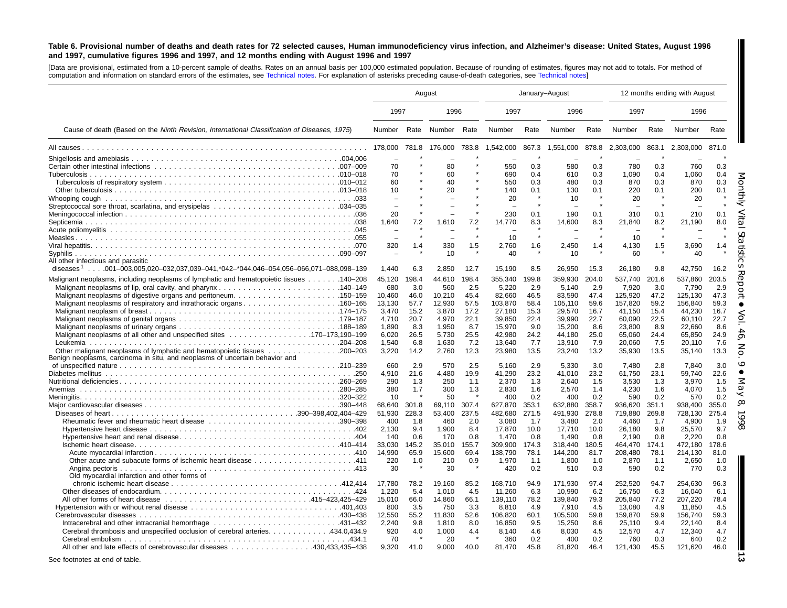#### <span id="page-12-0"></span>Table 6. Provisional number of deaths and death rates for 72 selected causes, Human immunodeficiency virus infection, and Alzheimer's disease: United States, August 1996 and 1997, cumulative figures 1996 and 1997, and 12 months ending with August 1996 and 1997

[Data are provisional, estimated from <sup>a</sup> 10-percent sample of deaths. Rates on an annual basis per 100,000 estimated population. Because of rounding of [estimates,](#page-16-0) figures may not add to totals. For method of computation and information on standard errors of the estimates, see [Technical](#page-16-0) notes. For explanation of asterisks preceding cause-of-death categories, see Technical notes]

|                                                                                                 |              | August      |              |             | January-August  |             |                 |             | 12 months ending with August |             |                 |             |
|-------------------------------------------------------------------------------------------------|--------------|-------------|--------------|-------------|-----------------|-------------|-----------------|-------------|------------------------------|-------------|-----------------|-------------|
|                                                                                                 | 1997         |             | 1996         |             | 1997            |             | 1996            |             | 1997                         |             | 1996            |             |
| Cause of death (Based on the Ninth Revision, International Classification of Diseases, 1975)    | Number       | Rate        | Number Rate  |             | Number          | Rate        | Number          | Rate        | Number                       | Rate        | Number          | Rate        |
|                                                                                                 | 178.000      | 781.8       | 176.000      | 783.8       | 1,542,000       | 867.3       | 1,551,000       | 878.8       | 2,303,000                    | 863.1       | 2.303.000       | 871.0       |
|                                                                                                 |              |             |              |             |                 |             |                 |             |                              |             |                 |             |
|                                                                                                 | 70           |             | 80           |             | 550             | 0.3         | 580             | 0.3         | 780                          | 0.3         | 760             | 0.3         |
|                                                                                                 | 70           |             | 60           |             | 690             | 0.4         | 610             | 0.3         | 1,090                        | 0.4         | 1,060           | 0.4         |
|                                                                                                 | 60           |             | 40           |             | 550             | 0.3         | 480             | 0.3         | 870                          | 0.3         | 870             | 0.3         |
|                                                                                                 | 10           |             | 20           |             | 140             | 0.1         | 130             | 0.1         | 220                          | 0.1         | 200             | 0.1         |
|                                                                                                 |              |             |              |             | 20              | $\star$     | 10              |             | 20                           |             | 20              |             |
|                                                                                                 |              |             |              | $\star$     |                 |             |                 |             |                              |             |                 |             |
|                                                                                                 | 20           |             |              | 7.2         | 230             | 0.1         | 190             | 0.1         | 310                          | 0.1         | 210             | 0.1         |
|                                                                                                 | 1,640        | 7.2         | 1,610        |             | 14,770          | 8.3         | 14,600          | 8.3         | 21,840                       | 8.2         | 21,190          | 8.0         |
|                                                                                                 |              |             |              | $\star$     | 10              | $\star$     |                 |             | 10                           |             |                 |             |
|                                                                                                 | 320          | 1.4         | 330          | 1.5         | 2,760           | 1.6         | 2,450           | 1.4         | 4,130                        | 1.5         | 3,690           | 1.4         |
|                                                                                                 |              |             | 10           |             | 40              |             | 10              |             | 60                           |             | 40              |             |
| All other infectious and parasitic                                                              |              |             |              |             |                 |             |                 |             |                              |             |                 |             |
| diseases <sup>1</sup> 001–003,005,020–032,037,039–041,*042–*044,046–054,056–066,071–088,098–139 | 1,440        | 6.3         | 2,850        | 12.7        | 15,190          | 8.5         | 26,950          | 15.3        | 26,180                       | 9.8         | 42,750          | 16.2        |
| 140–208.  140–208. Malignant neoplasms of lymphatic and hematopoietic tissues  140–208          | 45.120       | 198.4       | 44.610       | 198.4       | 355.340         | 199.8       | 359.930         | 204.0       | 537.740                      | 201.6       | 537.860         | 203.5       |
| 140–149. Malignant neoplasms of lip, oral cavity, and pharynx140–149                            | 680          | 3.0         | 560          | 2.5         | 5.220           | 2.9         | 5.140           | 2.9         | 7.920                        | 3.0         | 7.790           | 2.9         |
| Malignant neoplasms of digestive organs and peritoneum150–159                                   | 10,460       | 46.0        | 10,210       | 45.4        | 82,660          | 46.5        | 83,590          | 47.4        | 125,920                      | 47.2        | 125,130         | 47.3        |
|                                                                                                 | 13,130       | 57.7        | 12,930       | 57.5        | 103,870         | 58.4        | 105,110         | 59.6        | 157,820                      | 59.2        | 156,840         | 59.3        |
|                                                                                                 | 3,470        | 15.2        | 3,870        | 17.2        | 27,180          | 15.3        | 29,570          | 16.7        | 41,150                       | 15.4        | 44,230          | 16.7        |
|                                                                                                 | 4,710        | 20.7        | 4,970        | 22.1        | 39.850          | 22.4        | 39.990          | 22.7        | 60.090                       | 22.5        | 60.110          | 22.7        |
|                                                                                                 | 1.890        | 8.3         | 1,950        | 8.7         | 15.970          | 9.0         | 15,200          | 8.6         | 23.800                       | 8.9         | 22.660          | 8.6         |
|                                                                                                 | 6,020        | 26.5        | 5,730        | 25.5        | 42,980          | 24.2        | 44,180          | 25.0        | 65,060                       | 24.4        | 65,850          | 24.9        |
|                                                                                                 | 1,540        | 6.8         | 1,630        | 7.2         | 13,640          | 7.7         | 13,910          | 7.9         | 20,060                       | 7.5         | 20,110          | 7.6         |
|                                                                                                 | 3,220        | 14.2        | 2,760        | 12.3        | 23,980          | 13.5        | 23,240          | 13.2        | 35,930                       | 13.5        | 35,140          | 13.3        |
| Benign neoplasms, carcinoma in situ, and neoplasms of uncertain behavior and                    |              |             |              |             |                 |             |                 |             |                              |             |                 |             |
|                                                                                                 | 660          | 2.9<br>21.6 | 570          | 2.5<br>19.9 | 5.160           | 2.9<br>23.2 | 5.330           | 3.0<br>23.2 | 7.480<br>61.750              | 2.8<br>23.1 | 7.840<br>59.740 | 3.0<br>22.6 |
|                                                                                                 | 4,910<br>290 | 1.3         | 4,480<br>250 | 1.1         | 41,290<br>2,370 |             | 41,010<br>2,640 | 1.5         | 3,530                        | 1.3         | 3,970           | 1.5         |
| Anemias                                                                                         | 380          | 1.7         | 300          | 1.3         | 2,830           | 1.3<br>1.6  | 2,570           | 1.4         | 4,230                        | 1.6         | 4,070           | 1.5         |
|                                                                                                 | 10           |             | 50           |             | 400             | 0.2         | 400             | 0.2         | 590                          | 0.2         | 570             | 0.2         |
|                                                                                                 | 68,640       | 301.8       | 69,110       | 307.4       | 627,870         | 353.1       | 632,880         | 358.7       | 936,620                      | 351.1       | 938,400         | 355.0       |
|                                                                                                 | 51.930       | 228.3       | 53.400       | 237.5       | 482.680         | 271.5       | 491.930         | 278.8       | 719.880                      | 269.8       | 728.130         | 275.4       |
|                                                                                                 | 400          | 1.8         | 460          | 2.0         | 3,080           | 1.7         | 3,480           | 2.0         | 4,460                        | 1.7         | 4,900           | 1.9         |
|                                                                                                 | 2,130        | 9.4         | 1,900        | 8.4         | 17,870          | 10.0        | 17,710          | 10.0        | 26,180                       | 9.8         | 25,570          | 9.7         |
|                                                                                                 | 140          | 0.6         | 170          | 0.8         | 1.470           | 0.8         | 1.490           | 0.8         | 2.190                        | 0.8         | 2.220           | 0.8         |
|                                                                                                 | 33.030       | 145.2       | 35.010       | 155.7       | 309.900         | 174.3       | 318.440         | 180.5       | 464.470                      | 174.1       | 472.180         | 178.6       |
|                                                                                                 | 14,990       | 65.9        | 15.600       | 69.4        | 138.790         | 78.1        | 144,200         | 81.7        | 208.480                      | 78.1        | 214.130         | 81.0        |
|                                                                                                 | 220          | 1.0         | 210          | 0.9         | 1.970           | 1.1         | 1.800           | 1.0         | 2.870                        | 1.1         | 2.650           | 1.0         |
|                                                                                                 | 30           |             | 30           |             | 420             | 0.2         | 510             | 0.3         | 590                          | 0.2         | 770             | 0.3         |
| Old myocardial infarction and other forms of                                                    |              |             |              |             |                 |             |                 |             |                              |             |                 |             |
|                                                                                                 | 17,780       | 78.2        | 19,160       | 85.2        | 168,710         | 94.9        | 171,930         | 97.4        | 252,520                      | 94.7        | 254,630         | 96.3        |
|                                                                                                 | 1,220        | 5.4         | 1,010        | 4.5         | 11,260          | 6.3         | 10,990          | 6.2         | 16,750                       | 6.3         | 16,040          | 6.1         |
|                                                                                                 | 15,010       | 66.0        | 14,860       | 66.1        | 139,110         | 78.2        | 139,840         | 79.3        | 205,840                      | 77.2        | 207,220         | 78.4        |
|                                                                                                 | 800          | 3.5         | 750          | 3.3         | 8.810           | 4.9         | 7.910           | 4.5         | 13.080                       | 4.9         | 11.850          | 4.5         |
|                                                                                                 | 12,550       | 55.2        | 11,830       | 52.6        | 106,820         | 60.1        | 105,500         | 59.8        | 159,870                      | 59.9        | 156,740         | 59.3        |
| Intracerebral and other intracranial hemorrhage 431-432                                         | 2,240        | 9.8         | 1,810        | 8.0         | 16,850          | 9.5         | 15,250          | 8.6         | 25,110                       | 9.4         | 22,140          | 8.4         |
| Cerebral thrombosis and unspecified occlusion of cerebral arteries. 434.0,434.9                 | 920          | 4.0         | 1,000        | 4.4         | 8,140           | 4.6         | 8,030           | 4.5         | 12,570                       | 4.7         | 12,340          | 4.7         |
|                                                                                                 | 70           |             | 20           |             | 360             | 0.2         | 400             | 0.2         | 760                          | 0.3         | 640             | 0.2         |
| All other and late effects of cerebrovascular diseases 430,433,435–438                          | 9.320        | 41.0        | 9.000        | 40.0        | 81.470          | 45.8        | 81,820          | 46.4        | 121,430                      | 45.5        | 121,620         | 46.0        |
|                                                                                                 |              |             |              |             |                 |             |                 |             |                              |             |                 |             |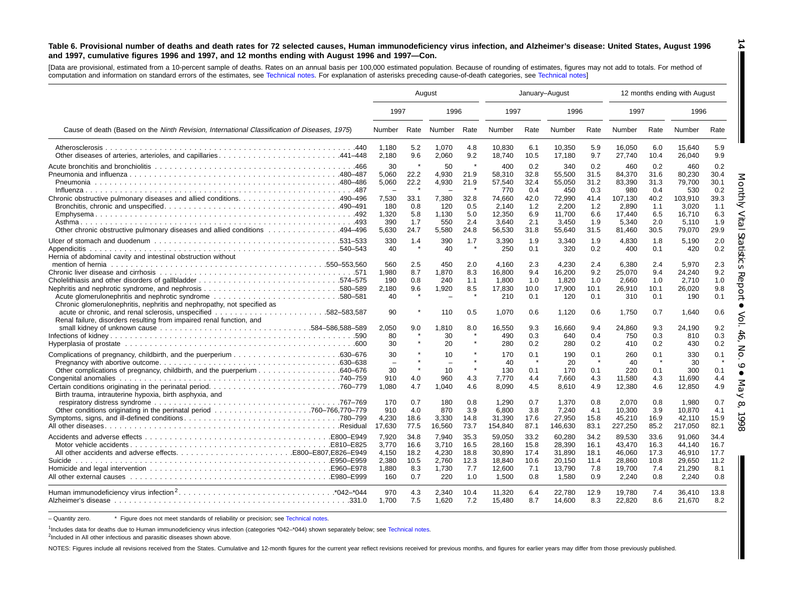#### Table 6. Provisional number of deaths and death rates for 72 selected causes, Human immunodeficiency virus infection, and Alzheimer's disease: United States, August 1996 and 1997, cumulative figures 1996 and 1997, and 12 months ending with August 1996 and 1997-Con.

[Data are provisional, estimated from <sup>a</sup> 10-percent sample of deaths. Rates on an annual basis per 100,000 estimated population. Because of rounding of estimates, figures may not add to totals. For method of computation and information on standard errors of the estimates, see [Technical](#page-16-0) notes. For explanation of asterisks preceding cause-of-death categories, see [Technical](#page-16-0) notes]

|                                                                                                                                    |                                                  | August                                     |                                                  |                                            |                                                         | January-August                             |                                                         |                                            |                                                         | 12 months ending with August               |                                                         |                                            |
|------------------------------------------------------------------------------------------------------------------------------------|--------------------------------------------------|--------------------------------------------|--------------------------------------------------|--------------------------------------------|---------------------------------------------------------|--------------------------------------------|---------------------------------------------------------|--------------------------------------------|---------------------------------------------------------|--------------------------------------------|---------------------------------------------------------|--------------------------------------------|
|                                                                                                                                    | 1997                                             |                                            | 1996                                             |                                            | 1997                                                    |                                            | 1996                                                    |                                            | 1997                                                    |                                            | 1996                                                    |                                            |
| Cause of death (Based on the Ninth Revision, International Classification of Diseases, 1975)                                       | Number                                           |                                            | Rate Number                                      | Rate                                       | Number                                                  | Rate                                       | Number                                                  | Rate                                       | Number                                                  | Rate                                       | Number                                                  | Rate                                       |
| Other diseases of arteries, arterioles, and capillaries441–448                                                                     | 1.180<br>2,180                                   | 5.2<br>9.6                                 | 1,070<br>2,060                                   | 4.8<br>9.2                                 | 10,830<br>18,740                                        | 6.1<br>10.5                                | 10,350<br>17,180                                        | 5.9<br>9.7                                 | 16,050<br>27,740                                        | 6.0<br>10.4                                | 15.640<br>26,040                                        | 5.9<br>9.9                                 |
|                                                                                                                                    | 30<br>5,060<br>5,060                             | 22.2<br>22.2                               | 50<br>4,930<br>4,930                             | 21.9<br>21.9                               | 400<br>58,310<br>57,540<br>770                          | 0.2<br>32.8<br>32.4<br>0.4                 | 340<br>55,500<br>55,050<br>450                          | 0.2<br>31.5<br>31.2<br>0.3                 | 460<br>84,370<br>83,390<br>980                          | 0.2<br>31.6<br>31.3<br>0.4                 | 460<br>80.230<br>79,700<br>530                          | 0.2<br>30.4<br>30.1<br>0.2                 |
| Other chronic obstructive pulmonary diseases and allied conditions 494–496                                                         | 7,530<br>180<br>1,320<br>390<br>5,630            | 33.1<br>0.8<br>5.8<br>1.7<br>24.7          | 7,380<br>120<br>1,130<br>550<br>5,580            | 32.8<br>0.5<br>5.0<br>2.4<br>24.8          | 74.660<br>2.140<br>12,350<br>3.640<br>56,530            | 42.0<br>1.2<br>6.9<br>2.1<br>31.8          | 72.990<br>2.200<br>11,700<br>3.450<br>55,640            | 41.4<br>1.2<br>6.6<br>1.9<br>31.5          | 107,130<br>2,890<br>17,440<br>5.340<br>81,460           | 40.2<br>1.1<br>6.5<br>2.0<br>30.5          | 103.910<br>3.020<br>16,710<br>5.110<br>79,070           | 39.3<br>1.1<br>6.3<br>1.9<br>29.9          |
| Hernia of abdominal cavity and intestinal obstruction without                                                                      | 330<br>40                                        | 1.4<br>$\star$                             | 390<br>40                                        | 1.7<br>$\star$                             | 3,390<br>250                                            | 1.9<br>0.1                                 | 3,340<br>320                                            | 1.9<br>0.2                                 | 4,830<br>400                                            | 1.8<br>0.1                                 | 5,190<br>420                                            | 2.0<br>0.2                                 |
| Acute glomerulonephritis and nephrotic syndrome 580–581<br>Chronic glomerulonephritis, nephritis and nephropathy, not specified as | 560<br>1,980<br>190<br>2,180<br>40               | 2.5<br>8.7<br>0.8<br>9.6<br>$\star$        | 450<br>1,870<br>240<br>1,920                     | 2.0<br>8.3<br>1.1<br>8.5<br>$\star$        | 4.160<br>16,800<br>1,800<br>17,830<br>210               | 2.3<br>9.4<br>1.0<br>10.0<br>0.1           | 4,230<br>16,200<br>1,820<br>17,900<br>120               | 2.4<br>9.2<br>1.0<br>10.1<br>0.1           | 6,380<br>25,070<br>2,660<br>26,910<br>310               | 2.4<br>9.4<br>1.0<br>10.1<br>0.1           | 5,970<br>24,240<br>2,710<br>26.020<br>190               | 2.3<br>9.2<br>1.0<br>9.8<br>0.1            |
| Renal failure, disorders resulting from impaired renal function, and                                                               | 90<br>2,050<br>80                                | 9.0                                        | 110<br>1,810<br>30                               | 0.5<br>8.0<br>$\star$                      | 1.070<br>16,550<br>490                                  | 0.6<br>9.3<br>0.3                          | 1,120<br>16,660<br>640                                  | 0.6<br>9.4<br>0.4                          | 1,750<br>24,860<br>750                                  | 0.7<br>9.3<br>0.3                          | 1,640<br>24,190<br>810                                  | 0.6<br>9.2<br>0.3                          |
|                                                                                                                                    | 30<br>30                                         |                                            | 20<br>10                                         |                                            | 280<br>170                                              | 0.2<br>0.1                                 | 280<br>190                                              | 0.2<br>0.1                                 | 410<br>260                                              | 0.2<br>0.1                                 | 430<br>330                                              | 0.2<br>0.1                                 |
| Birth trauma, intrauterine hypoxia, birth asphyxia, and                                                                            | $\overline{\phantom{a}}$<br>30<br>910<br>1.080   | $\star$<br>4.0<br>4.7                      | $\overline{\phantom{0}}$<br>10<br>960<br>1,040   | $\star$<br>$\star$<br>4.3<br>4.6           | 40<br>130<br>7,770<br>8.090                             | 0.1<br>4.4<br>4.5                          | 20<br>170<br>7.660<br>8,610                             | 0.1<br>4.3<br>4.9                          | 40<br>220<br>11,580<br>12,380                           | 0.1<br>4.3<br>4.6                          | 30<br>300<br>11.690<br>12,850                           | 0.1<br>4.4<br>4.9                          |
|                                                                                                                                    | 170<br>910<br>4,230<br>17,630                    | 0.7<br>4.0<br>18.6<br>77.5                 | 180<br>870<br>3,330<br>16,560                    | 0.8<br>3.9<br>14.8<br>73.7                 | 1,290<br>6,800<br>31,390<br>154,840                     | 0.7<br>3.8<br>17.6<br>87.1                 | 1,370<br>7,240<br>27,950<br>146,630                     | 0.8<br>4.1<br>15.8<br>83.1                 | 2,070<br>10,300<br>45,210<br>227,250                    | 0.8<br>3.9<br>16.9<br>85.2                 | 1,980<br>10,870<br>42,110<br>217,050                    | 0.7<br>4.1<br>15.9<br>82.1                 |
|                                                                                                                                    | 7.920<br>3.770<br>4,150<br>2,380<br>1.880<br>160 | 34.8<br>16.6<br>18.2<br>10.5<br>8.3<br>0.7 | 7.940<br>3.710<br>4,230<br>2,760<br>1,730<br>220 | 35.3<br>16.5<br>18.8<br>12.3<br>7.7<br>1.0 | 59.050<br>28.160<br>30,890<br>18,840<br>12.600<br>1,500 | 33.2<br>15.8<br>17.4<br>10.6<br>7.1<br>0.8 | 60,280<br>28.390<br>31,890<br>20,150<br>13,790<br>1,580 | 34.2<br>16.1<br>18.1<br>11.4<br>7.8<br>0.9 | 89.530<br>43.470<br>46,060<br>28,860<br>19,700<br>2,240 | 33.6<br>16.3<br>17.3<br>10.8<br>7.4<br>0.8 | 91,060<br>44.140<br>46,910<br>29,650<br>21.290<br>2,240 | 34.4<br>16.7<br>17.7<br>11.2<br>8.1<br>0.8 |
|                                                                                                                                    | 970<br>1.700                                     | 4.3<br>7.5                                 | 2.340<br>1.620                                   | 10.4<br>7.2                                | 11.320<br>15,480                                        | 6.4<br>8.7                                 | 22.780<br>14,600                                        | 12.9<br>8.3                                | 19.780<br>22,820                                        | 7.4<br>8.6                                 | 36.410<br>21,670                                        | 13.8<br>8.2                                |

- Quantity zero. \* Figure does not meet standards of reliability or precision; see Technical notes.

1Includes data for deaths due to Human immunodeficiency virus infection (categories \*042-\*044) shown separately below; see [Technical](#page-16-0) notes.

<sup>2</sup>Included in All other infectious and parasitic diseases shown above.

NOTES: Figures include all revisions received from the States. Cumulative and 12-month figures for the current year reflect revisions received for previous months, and figures for earlier years may differ from those previo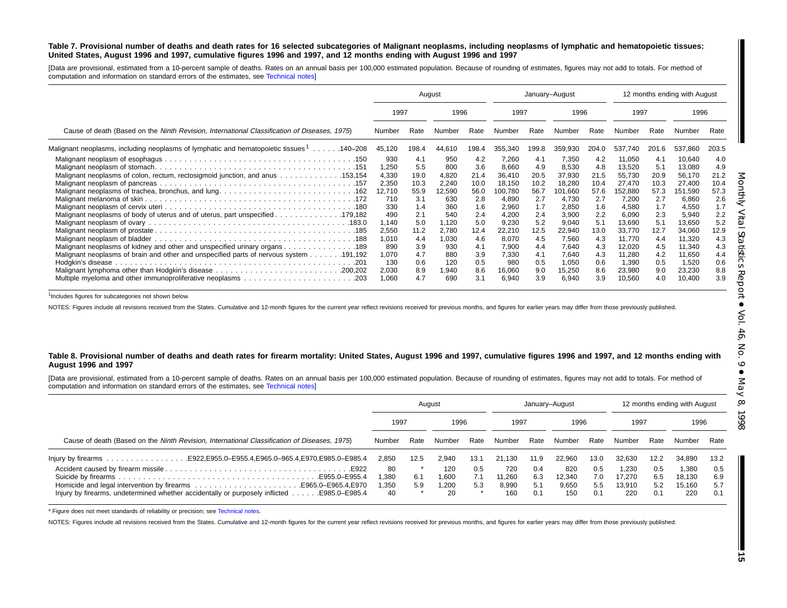#### Table 7. Provisional number of deaths and death rates for 16 selected subcategories of Malignant neoplasms, including neoplasms of lymphatic and hematopoietic tissues: United States, August 1996 and 1997, cumulative figures 1996 and 1997, and 12 months ending with August 1996 and 1997

[Data are provisional, estimated from <sup>a</sup> 10-percent sample of deaths. Rates on an annual basis per 100,000 estimated population. Because of rounding of estimates, figures may not add to totals. For method of computation and information on standard errors of the estimates, see [Technical](#page-16-0) notes]

|                                                                                              |                                                                        |                                                                | August                                                               |                                                                | January-August                                                                    |                                                                |                                                                                   |                                                                |                                                                                      |                                                                 | 12 months ending with August                                                         |                                                                |
|----------------------------------------------------------------------------------------------|------------------------------------------------------------------------|----------------------------------------------------------------|----------------------------------------------------------------------|----------------------------------------------------------------|-----------------------------------------------------------------------------------|----------------------------------------------------------------|-----------------------------------------------------------------------------------|----------------------------------------------------------------|--------------------------------------------------------------------------------------|-----------------------------------------------------------------|--------------------------------------------------------------------------------------|----------------------------------------------------------------|
|                                                                                              | 1997                                                                   |                                                                | 1996                                                                 |                                                                | 1997                                                                              |                                                                | 1996                                                                              |                                                                | 1997                                                                                 |                                                                 | 1996                                                                                 |                                                                |
| Cause of death (Based on the Ninth Revision, International Classification of Diseases, 1975) | Number                                                                 | Rate                                                           | Number                                                               | Rate                                                           | Number                                                                            | Rate                                                           | Number                                                                            | Rate                                                           | Number                                                                               | Rate                                                            | Number                                                                               | Rate                                                           |
| Malignant neoplasms, including neoplasms of lymphatic and hematopoietic tissues 1140–208     | 45,120                                                                 | 198.4                                                          | 44,610                                                               | 198.4                                                          | 355,340                                                                           | 199.8                                                          | 359,930                                                                           | 204.0                                                          | 537.740                                                                              | 201.6                                                           | 537,860                                                                              | 203.5                                                          |
| Malignant neoplasms of colon, rectum, rectosigmoid junction, and anus 153,154                | 930<br>1.250<br>4,330<br>2,350<br>12,710<br>710<br>330<br>490<br>1,140 | 4.1<br>5.5<br>19.0<br>10.3<br>55.9<br>3.1<br>1.4<br>2.1<br>5.0 | 950<br>800<br>4,820<br>2,240<br>12,590<br>630<br>360<br>540<br>1,120 | 4.2<br>3.6<br>21.4<br>10.0<br>56.0<br>2.8<br>1.6<br>2.4<br>5.0 | 7,260<br>8,660<br>36,410<br>18,150<br>100,780<br>4,890<br>2,960<br>4,200<br>9,230 | 4.1<br>4.9<br>20.5<br>10.2<br>56.7<br>2.7<br>1.7<br>2.4<br>5.2 | 7,350<br>8,530<br>37,930<br>18,280<br>101,660<br>4,730<br>2,850<br>3,900<br>9,040 | 4.2<br>4.8<br>21.5<br>10.4<br>57.6<br>2.7<br>1.6<br>2.2<br>5.1 | 11,050<br>13,520<br>55,730<br>27,470<br>152,880<br>7,200<br>4,580<br>6,090<br>13,690 | -4.1<br>5.1<br>20.9<br>10.3<br>57.3<br>2.7<br>1.7<br>2.3<br>5.1 | 10,640<br>13,080<br>56,170<br>27,400<br>151,590<br>6,860<br>4,550<br>5,940<br>13,650 | 4.0<br>4.9<br>21.2<br>10.4<br>57.3<br>2.6<br>1.7<br>2.2<br>5.2 |
| Malignant neoplasms of kidney and other and unspecified urinary organs 189                   | 2,550<br>1,010<br>890<br>1,070<br>130<br>2,030<br>1,060                | 11.2<br>4.4<br>3.9<br>4.7<br>0.6<br>8.9<br>4.7                 | 2,780<br>1,030<br>930<br>880<br>120<br>1,940<br>690                  | 12.4<br>4.6<br>4.1<br>3.9<br>0.5<br>8.6<br>3.1                 | 22,210<br>8,070<br>7.900<br>7.330<br>980<br>16,060<br>6,940                       | 12.5<br>4.5<br>4.4<br>4.1<br>0.5<br>9.0<br>3.9                 | 22,940<br>7,560<br>7,640<br>7.640<br>1,050<br>15,250<br>6,940                     | 13.0<br>4.3<br>4.3<br>4.3<br>0.6<br>8.6<br>3.9                 | 33,770<br>11,770<br>12,020<br>11,280<br>1,390<br>23,980<br>10,560                    | 12.7<br>4.4<br>4.5<br>4.2<br>0.5<br>9.0<br>4.0                  | 34,060<br>11,320<br>11,340<br>11,650<br>1,520<br>23,230<br>10,400                    | 12.9<br>4.3<br>4.3<br>4.4<br>0.6<br>8.8<br>3.9                 |

<sup>1</sup>Includes figures for subcategories not shown below.

NOTES: Figures include all revisions received from the States. Cumulative and 12-month figures for the current year reflect revisions received for previous months, and figures for earlier years may differ from those previo

#### Table 8. Provisional number of deaths and death rates for firearm mortality: United States, August 1996 and 1997, cumulative figures 1996 and 1997, and 12 months ending with **August 1996 and 1997**

[Data are provisional, estimated from <sup>a</sup> 10-percent sample of deaths. Rates on an annual basis per 100,000 estimated population. Because of rounding of estimates, figures may not add to totals. For method of computation and information on standard errors of the estimates, see [Technical](#page-16-0) notes]

|                                                                                                          | August     |      |              |            | January-August |            |               |            |                 |            | 12 months ending with August |            |
|----------------------------------------------------------------------------------------------------------|------------|------|--------------|------------|----------------|------------|---------------|------------|-----------------|------------|------------------------------|------------|
|                                                                                                          | 1997       |      | 1996         |            | 1997           |            | 1996          |            | 1997            |            | 1996                         |            |
| Cause of death (Based on the Ninth Revision, International Classification of Diseases, 1975)             | Number     | Rate | Number       | Rate       | Number         | Rate       | Number        | Rate       | Number          | Rate       | Number                       | Rate       |
| lnjury by firearms E922, E955.0–E955.4, E965.0–965.4, E970, E985.0–E985.4                                | 2.850      | 12.5 | 2.940        | 13.1       | 21.130         | 11.9       | 22.960        | 13.0       | 32.630          | 12.2       | 34,890                       | 13.2       |
|                                                                                                          | 80<br>.380 | 6.1  | 120<br>1.600 | 0.5<br>7.1 | 720<br>11.260  | 0.4<br>6.3 | 820<br>12.340 | 0.5<br>7.0 | 1.230<br>17.270 | 0.5<br>6.5 | 1,380<br>18.130              | 0.5<br>6.9 |
| Injury by firearms, undetermined whether accidentally or purposely inflicted $\dots$ .<br>E985.0-E985.4. | .350<br>40 | 5.9  | 1,200<br>20  | 5.3        | 8.990<br>160   | 5.1<br>0.1 | 9.650<br>150  | 5.5<br>0.1 | 13.910<br>220   | 5.2<br>0.1 | 15.160<br>220                | 5.7<br>0.1 |

\* Figure does not meet standards of reliability or precision; see Technical notes.

NOTES: Figures include all revisions received from the States. [Cumulative](#page-16-0) and 12-month figures for the current year reflect revisions received for previous months, and figures for earlier years may differ from those previo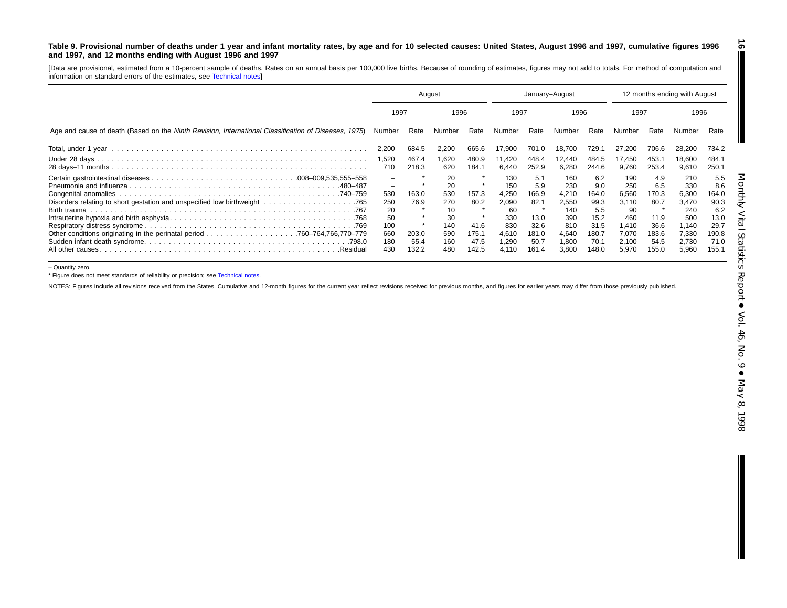#### <span id="page-15-0"></span>Table 9. Provisional number of deaths under 1 year and infant mortality rates, by age and for 10 selected causes: United States, August 1996 and 1997, cumulative figures 1996 **and 1997, and 12 months ending with August 1996 and 1997**

[Data are provisional, estimated from <sup>a</sup> 10-percent sample of deaths. Rates on an annual basis per 100,000 live births. Because of rounding of estimates, figures may not add to totals. For method of computation and information on standard errors of the estimates, see [Technical](#page-16-0) notes]

|                                                                                                      | August                                                  |                                         |                                                                |                                                 | January-August                                                               |                                                                       |                                                                              |                                                                              | 12 months ending with August                                                  |                                                                       |                                                                                |                                                                              |  |
|------------------------------------------------------------------------------------------------------|---------------------------------------------------------|-----------------------------------------|----------------------------------------------------------------|-------------------------------------------------|------------------------------------------------------------------------------|-----------------------------------------------------------------------|------------------------------------------------------------------------------|------------------------------------------------------------------------------|-------------------------------------------------------------------------------|-----------------------------------------------------------------------|--------------------------------------------------------------------------------|------------------------------------------------------------------------------|--|
|                                                                                                      |                                                         | 1997                                    |                                                                | 1996                                            |                                                                              | 1997                                                                  |                                                                              | 1996                                                                         |                                                                               | 1997                                                                  |                                                                                | 1996                                                                         |  |
| Age and cause of death (Based on the Ninth Revision, International Classification of Diseases, 1975) | Number                                                  | Rate                                    | Number                                                         | Rate                                            | Number                                                                       | Rate                                                                  | Number                                                                       | Rate                                                                         | Number                                                                        | Rate                                                                  | Number                                                                         | Rate                                                                         |  |
|                                                                                                      | 2,200                                                   | 684.5                                   | 2,200                                                          | 665.6                                           | 17,900                                                                       | 701.0                                                                 | 18.700                                                                       | 729.                                                                         | 27,200                                                                        | 706.6                                                                 | 28,200                                                                         | 734.2                                                                        |  |
|                                                                                                      | 520. ا<br>710                                           | 467.4<br>218.3                          | 1,620<br>620                                                   | 480.9<br>184.1                                  | 11,420<br>6,440                                                              | 448.4<br>252.9                                                        | 12,440<br>6,280                                                              | 484.5<br>244.6                                                               | 17,450<br>9,760                                                               | 453.1<br>253.4                                                        | 18,600<br>9,610                                                                | 484.1<br>250.1                                                               |  |
| .480–487<br>All other causes.<br>.Residual                                                           | -<br>530<br>250<br>20<br>50<br>100<br>660<br>180<br>430 | 163.0<br>76.9<br>203.0<br>55.4<br>132.2 | 20<br>20<br>530<br>270<br>10<br>30<br>140<br>590<br>160<br>480 | 157.3<br>80.2<br>41.6<br>175.1<br>47.5<br>142.5 | 130<br>150<br>4.250<br>2,090<br>60<br>330<br>830<br>4,610<br>290. ا<br>4.110 | 5.1<br>5.9<br>166.9<br>82.1<br>13.0<br>32.6<br>181.0<br>50.7<br>161.4 | 160<br>230<br>4.210<br>2,550<br>140<br>390<br>810<br>4.640<br>1,800<br>3.800 | 6.2<br>9.0<br>164.0<br>99.3<br>5.5<br>15.2<br>31.5<br>180.7<br>70.1<br>148.0 | 190<br>250<br>6,560<br>3,110<br>90<br>460<br>1.410<br>7.070<br>2,100<br>5,970 | 4.9<br>6.5<br>170.3<br>80.7<br>11.9<br>36.6<br>183.6<br>54.5<br>155.0 | 210<br>330<br>6,300<br>3.470<br>240<br>500<br>1.140<br>7,330<br>2,730<br>5,960 | 5.5<br>8.6<br>164.0<br>90.3<br>6.2<br>13.0<br>29.7<br>190.8<br>71.0<br>155.1 |  |

– Quantity zero.

\* Figure does not meet standards of reliability or precision; see Technical notes.

NOTES: Figures include all revisions received from the States. [Cumulative](#page-16-0) and 12-month figures for the current year reflect revisions received for previous months, and figures for earlier years may differ from those previo

**16**

П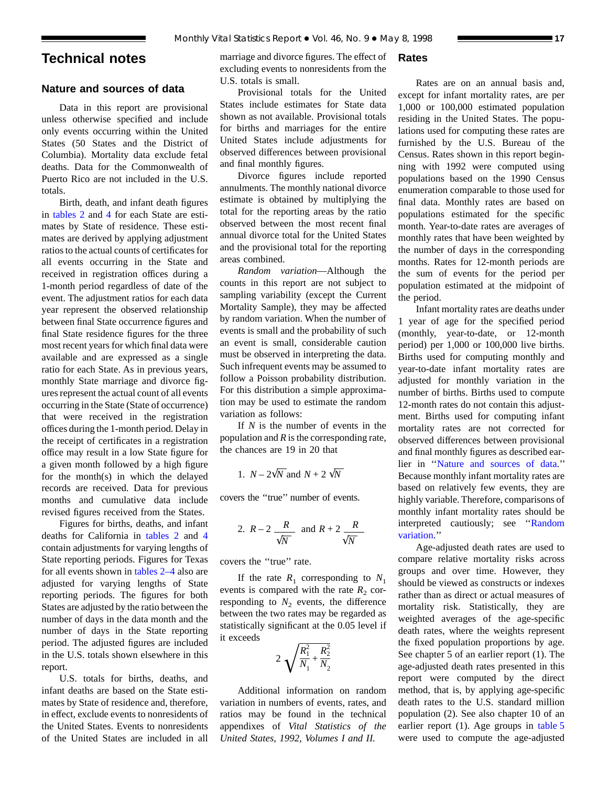# <span id="page-16-0"></span>**Technical notes**

# **Nature and sources of data**

Data in this report are provisional unless otherwise specified and include only events occurring within the United States (50 States and the District of Columbia). Mortality data exclude fetal deaths. Data for the Commonwealth of Puerto Rico are not included in the U.S. totals.

Birth, death, and infant death figures in [tables 2](#page-6-0) and 4 for each State are estimates by Sta[te of re](#page-8-0)sidence. These estimates are derived by applying adjustment ratios to the actual counts of certificates for all events occurring in the State and received in registration offices during a 1-month period regardless of date of the event. The adjustment ratios for each data year represent the observed relationship between final State occurrence figures and final State residence figures for the three most recent years for which final data were available and are expressed as a single ratio for each State. As in previous years, monthly State marriage and divorce figures represent the actual count of all events occurring in the State (State of occurrence) that were received in the registration offices during the 1-month period. Delay in the receipt of certificates in a registration office may result in a low State figure for a given month followed by a high figure for the month(s) in which the delayed records are received. Data for previous months and cumulative data include revised figures received from the States.

Figures for births, deaths, and i[nfant](#page-8-0) deaths for California in [tables 2](#page-6-0) and 4 contain adjustments for varying lengths of State reporting periods. Figures for Texas for all events shown in tables 2–4 also are adjusted for varyin[g lengths of S](#page-6-0)tate reporting periods. The figures for both States are adjusted by the ratio between the number of days in the data month and the number of days in the State reporting period. The adjusted figures are included in the U.S. totals shown elsewhere in this report.

U.S. totals for births, deaths, and infant deaths are based on the State estimates by State of residence and, therefore, in effect, exclude events to nonresidents of the United States. Events to nonresidents of the United States are included in all

marriage and divorce figures. The effect of excluding events to nonresidents from the U.S. totals is small.

Provisional totals for the United States include estimates for State data shown as not available. Provisional totals for births and marriages for the entire United States include adjustments for observed differences between provisional and final monthly figures.

Divorce figures include reported annulments. The monthly national divorce estimate is obtained by multiplying the total for the reporting areas by the ratio observed between the most recent final annual divorce total for the United States and the provisional total for the reporting areas combined.

*Random variation*—Although the counts in this report are not subject to sampling variability (except the Current Mortality Sample), they may be affected by random variation. When the number of events is small and the probability of such an event is small, considerable caution must be observed in interpreting the data. Such infrequent events may be assumed to follow a Poisson probability distribution. For this distribution a simple approximation may be used to estimate the random variation as follows:

If *N* is the number of events in the population and *R* is the corresponding rate, the chances are 19 in 20 that

1. 
$$
N - 2\sqrt{N}
$$
 and  $N + 2\sqrt{N}$ 

covers the ''true'' number of events.

2. 
$$
R-2
$$
  $\frac{R}{\sqrt{N}}$  and  $R+2$   $\frac{R}{\sqrt{N}}$ 

covers the ''true'' rate.

If the rate  $R_1$  corresponding to  $N_1$ events is compared with the rate  $R_2$  corresponding to  $N_2$  events, the difference between the two rates may be regarded as statistically significant at the 0.05 level if it exceeds

$$
2\sqrt{\frac{R_1^2}{N_1} + \frac{R_2^2}{N_2}}
$$

Additional information on random variation in numbers of events, rates, and ratios may be found in the technical appendixes of *Vital Statistics of the United States, 1992, Volumes I and II.*

# **Rates**

Rates are on an annual basis and, except for infant mortality rates, are per 1,000 or 100,000 estimated population residing in the United States. The populations used for computing these rates are furnished by the U.S. Bureau of the Census. Rates shown in this report beginning with 1992 were computed using populations based on the 1990 Census enumeration comparable to those used for final data. Monthly rates are based on populations estimated for the specific month. Year-to-date rates are averages of monthly rates that have been weighted by the number of days in the corresponding months. Rates for 12-month periods are the sum of events for the period per population estimated at the midpoint of the period.

Infant mortality rates are deaths under 1 year of age for the specified period (monthly, year-to-date, or 12-month period) per 1,000 or 100,000 live births. Births used for computing monthly and year-to-date infant mortality rates are adjusted for monthly variation in the number of births. Births used to compute 12-month rates do not contain this adjustment. Births used for computing infant mortality rates are not corrected for observed differences between provisional and final monthly figures as described earlier in ''Nature and sources of data.'' Because monthly infant mortality rates are based on relatively few events, they are highly variable. Therefore, comparisons of monthly infant mortality rates should be interpreted cautiously; see ''Random variation.''

Age-adjusted death rates are used to compare relative mortality risks across groups and over time. However, they should be viewed as constructs or indexes rather than as direct or actual measures of mortality risk. Statistically, they are weighted averages of the age-specific death rates, where the weights represent the fixed population proportions by age. See chapter 5 of an earlier report (1). The age-adjusted death rates presented in this report were computed by the direct method, that is, by applying age-specific death rates to the U.S. standard million population (2). See also chapt[er 10 of an](#page-9-0) earlier report (1). Age groups in table 5 were used to compute the age-adjusted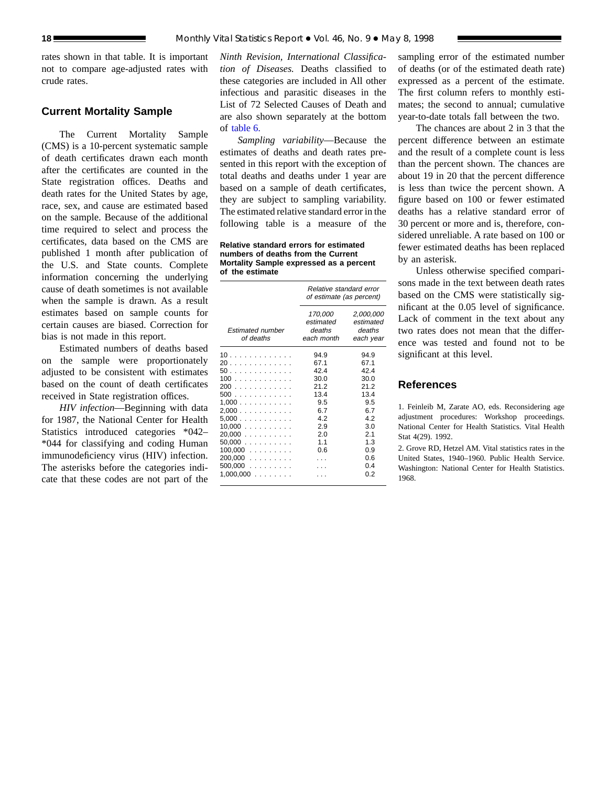rates shown in that table. It is important not to compare age-adjusted rates with crude rates.

# **Current Mortality Sample**

The Current Mortality Sample (CMS) is a 10-percent systematic sample of death certificates drawn each month after the certificates are counted in the State registration offices. Deaths and death rates for the United States by age, race, sex, and cause are estimated based on the sample. Because of the additional time required to select and process the certificates, data based on the CMS are published 1 month after publication of the U.S. and State counts. Complete information concerning the underlying cause of death sometimes is not available when the sample is drawn. As a result estimates based on sample counts for certain causes are biased. Correction for bias is not made in this report.

Estimated numbers of deaths based on the sample were proportionately adjusted to be consistent with estimates based on the count of death certificates received in State registration offices.

*HIV infection*—Beginning with data for 1987, the National Center for Health Statistics introduced categories \*042– \*044 for classifying and coding Human immunodeficiency virus (HIV) infection. The asterisks before the categories indicate that these codes are not part of the

*Ninth Revision, International Classification of Diseases.* Deaths classified to these categories are included in All other infectious and parasitic diseases in the List of 72 Selected Causes of Death and [are also show](#page-12-0)n separately at the bottom of table 6.

*Sampling variability*—Because the estimates of deaths and death rates presented in this report with the exception of total deaths and deaths under 1 year are based on a sample of death certificates, they are subject to sampling variability. The estimated relative standard error in the following table is a measure of the

**Relative standard errors for estimated numbers of deaths from the Current Mortality Sample expressed as a percent of the estimate**

|                                                                                                                          | Relative standard error<br>of estimate (as percent)                                           |                                                                                                      |  |  |  |
|--------------------------------------------------------------------------------------------------------------------------|-----------------------------------------------------------------------------------------------|------------------------------------------------------------------------------------------------------|--|--|--|
| <b>Estimated number</b><br>of deaths                                                                                     | 170,000<br>estimated<br>deaths<br>each month                                                  | 2,000,000<br>estimated<br>deaths<br>each year                                                        |  |  |  |
| 10<br>20<br>50<br>100<br>200<br>500<br>1,000<br>2,000<br>5,000<br>10,000<br>20,000<br>$50,000$<br>$100,000$<br>$200,000$ | 94.9<br>67.1<br>42.4<br>30.0<br>21.2<br>13.4<br>9.5<br>6.7<br>4.2<br>2.9<br>2.0<br>1.1<br>0.6 | 94.9<br>67.1<br>42.4<br>30.0<br>21.2<br>13.4<br>9.5<br>6.7<br>4.2<br>3.0<br>2.1<br>1.3<br>0.9<br>0.6 |  |  |  |
| $500,000$<br>$1,000,000$                                                                                                 |                                                                                               | 0.4<br>0.2                                                                                           |  |  |  |
|                                                                                                                          |                                                                                               |                                                                                                      |  |  |  |

sampling error of the estimated number of deaths (or of the estimated death rate) expressed as a percent of the estimate. The first column refers to monthly estimates; the second to annual; cumulative year-to-date totals fall between the two.

The chances are about 2 in 3 that the percent difference between an estimate and the result of a complete count is less than the percent shown. The chances are about 19 in 20 that the percent difference is less than twice the percent shown. A figure based on 100 or fewer estimated deaths has a relative standard error of 30 percent or more and is, therefore, considered unreliable. A rate based on 100 or fewer estimated deaths has been replaced by an asterisk.

Unless otherwise specified comparisons made in the text between death rates based on the CMS were statistically significant at the 0.05 level of significance. Lack of comment in the text about any two rates does not mean that the difference was tested and found not to be significant at this level.

# **References**

1. Feinleib M, Zarate AO, eds. Reconsidering age adjustment procedures: Workshop proceedings. National Center for Health Statistics. Vital Health Stat 4(29). 1992.

2. Grove RD, Hetzel AM. Vital statistics rates in the United States, 1940–1960. Public Health Service. Washington: National Center for Health Statistics. 1968.